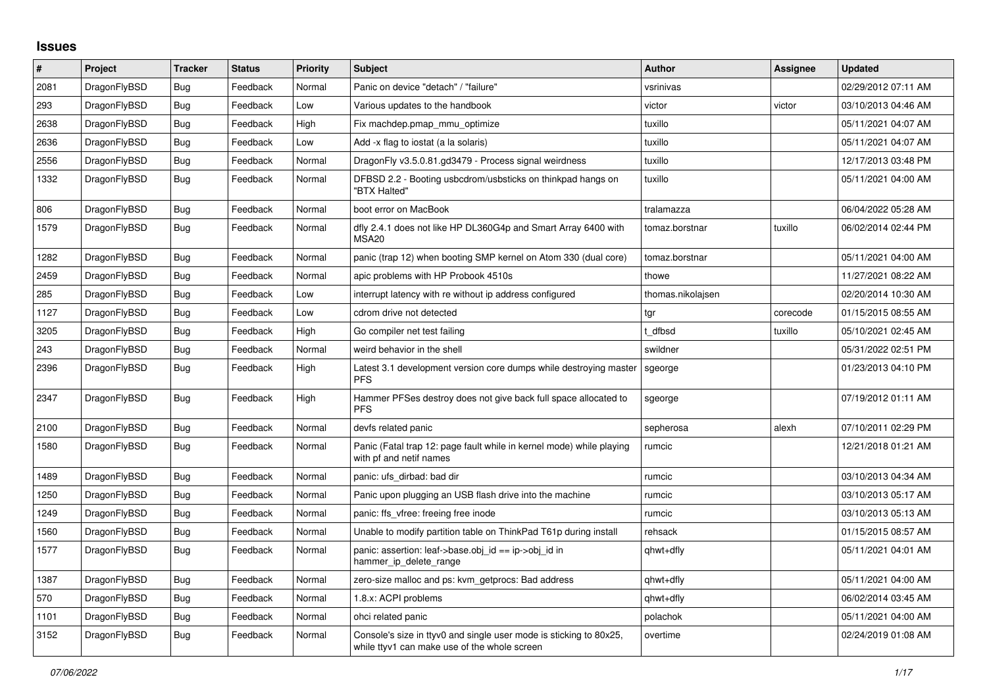## **Issues**

| $\vert$ # | <b>Project</b> | <b>Tracker</b> | <b>Status</b> | <b>Priority</b> | <b>Subject</b>                                                                                                     | <b>Author</b>     | <b>Assignee</b> | <b>Updated</b>      |
|-----------|----------------|----------------|---------------|-----------------|--------------------------------------------------------------------------------------------------------------------|-------------------|-----------------|---------------------|
| 2081      | DragonFlyBSD   | Bug            | Feedback      | Normal          | Panic on device "detach" / "failure"                                                                               | vsrinivas         |                 | 02/29/2012 07:11 AM |
| 293       | DragonFlyBSD   | <b>Bug</b>     | Feedback      | Low             | Various updates to the handbook                                                                                    | victor            | victor          | 03/10/2013 04:46 AM |
| 2638      | DragonFlyBSD   | <b>Bug</b>     | Feedback      | High            | Fix machdep.pmap_mmu_optimize                                                                                      | tuxillo           |                 | 05/11/2021 04:07 AM |
| 2636      | DragonFlyBSD   | <b>Bug</b>     | Feedback      | Low             | Add -x flag to iostat (a la solaris)                                                                               | tuxillo           |                 | 05/11/2021 04:07 AM |
| 2556      | DragonFlyBSD   | <b>Bug</b>     | Feedback      | Normal          | DragonFly v3.5.0.81.gd3479 - Process signal weirdness                                                              | tuxillo           |                 | 12/17/2013 03:48 PM |
| 1332      | DragonFlyBSD   | Bug            | Feedback      | Normal          | DFBSD 2.2 - Booting usbcdrom/usbsticks on thinkpad hangs on<br>"BTX Halted"                                        | tuxillo           |                 | 05/11/2021 04:00 AM |
| 806       | DragonFlyBSD   | <b>Bug</b>     | Feedback      | Normal          | boot error on MacBook                                                                                              | tralamazza        |                 | 06/04/2022 05:28 AM |
| 1579      | DragonFlyBSD   | <b>Bug</b>     | Feedback      | Normal          | dfly 2.4.1 does not like HP DL360G4p and Smart Array 6400 with<br><b>MSA20</b>                                     | tomaz.borstnar    | tuxillo         | 06/02/2014 02:44 PM |
| 1282      | DragonFlyBSD   | <b>Bug</b>     | Feedback      | Normal          | panic (trap 12) when booting SMP kernel on Atom 330 (dual core)                                                    | tomaz.borstnar    |                 | 05/11/2021 04:00 AM |
| 2459      | DragonFlyBSD   | Bug            | Feedback      | Normal          | apic problems with HP Probook 4510s                                                                                | thowe             |                 | 11/27/2021 08:22 AM |
| 285       | DragonFlyBSD   | Bug            | Feedback      | Low             | interrupt latency with re without ip address configured                                                            | thomas.nikolajsen |                 | 02/20/2014 10:30 AM |
| 1127      | DragonFlyBSD   | <b>Bug</b>     | Feedback      | Low             | cdrom drive not detected                                                                                           | tgr               | corecode        | 01/15/2015 08:55 AM |
| 3205      | DragonFlyBSD   | Bug            | Feedback      | High            | Go compiler net test failing                                                                                       | t dfbsd           | tuxillo         | 05/10/2021 02:45 AM |
| 243       | DragonFlyBSD   | <b>Bug</b>     | Feedback      | Normal          | weird behavior in the shell                                                                                        | swildner          |                 | 05/31/2022 02:51 PM |
| 2396      | DragonFlyBSD   | Bug            | Feedback      | High            | Latest 3.1 development version core dumps while destroying master<br><b>PFS</b>                                    | sgeorge           |                 | 01/23/2013 04:10 PM |
| 2347      | DragonFlyBSD   | <b>Bug</b>     | Feedback      | High            | Hammer PFSes destroy does not give back full space allocated to<br><b>PFS</b>                                      | sgeorge           |                 | 07/19/2012 01:11 AM |
| 2100      | DragonFlyBSD   | Bug            | Feedback      | Normal          | devfs related panic                                                                                                | sepherosa         | alexh           | 07/10/2011 02:29 PM |
| 1580      | DragonFlyBSD   | <b>Bug</b>     | Feedback      | Normal          | Panic (Fatal trap 12: page fault while in kernel mode) while playing<br>with pf and netif names                    | rumcic            |                 | 12/21/2018 01:21 AM |
| 1489      | DragonFlyBSD   | <b>Bug</b>     | Feedback      | Normal          | panic: ufs dirbad: bad dir                                                                                         | rumcic            |                 | 03/10/2013 04:34 AM |
| 1250      | DragonFlyBSD   | Bug            | Feedback      | Normal          | Panic upon plugging an USB flash drive into the machine                                                            | rumcic            |                 | 03/10/2013 05:17 AM |
| 1249      | DragonFlyBSD   | Bug            | Feedback      | Normal          | panic: ffs_vfree: freeing free inode                                                                               | rumcic            |                 | 03/10/2013 05:13 AM |
| 1560      | DragonFlyBSD   | <b>Bug</b>     | Feedback      | Normal          | Unable to modify partition table on ThinkPad T61p during install                                                   | rehsack           |                 | 01/15/2015 08:57 AM |
| 1577      | DragonFlyBSD   | <b>Bug</b>     | Feedback      | Normal          | panic: assertion: leaf->base.obj id == ip->obj id in<br>hammer ip delete range                                     | qhwt+dfly         |                 | 05/11/2021 04:01 AM |
| 1387      | DragonFlyBSD   | <b>Bug</b>     | Feedback      | Normal          | zero-size malloc and ps: kvm getprocs: Bad address                                                                 | qhwt+dfly         |                 | 05/11/2021 04:00 AM |
| 570       | DragonFlyBSD   | <b>Bug</b>     | Feedback      | Normal          | 1.8.x: ACPI problems                                                                                               | qhwt+dfly         |                 | 06/02/2014 03:45 AM |
| 1101      | DragonFlyBSD   | Bug            | Feedback      | Normal          | ohci related panic                                                                                                 | polachok          |                 | 05/11/2021 04:00 AM |
| 3152      | DragonFlyBSD   | Bug            | Feedback      | Normal          | Console's size in ttyv0 and single user mode is sticking to 80x25,<br>while ttyv1 can make use of the whole screen | overtime          |                 | 02/24/2019 01:08 AM |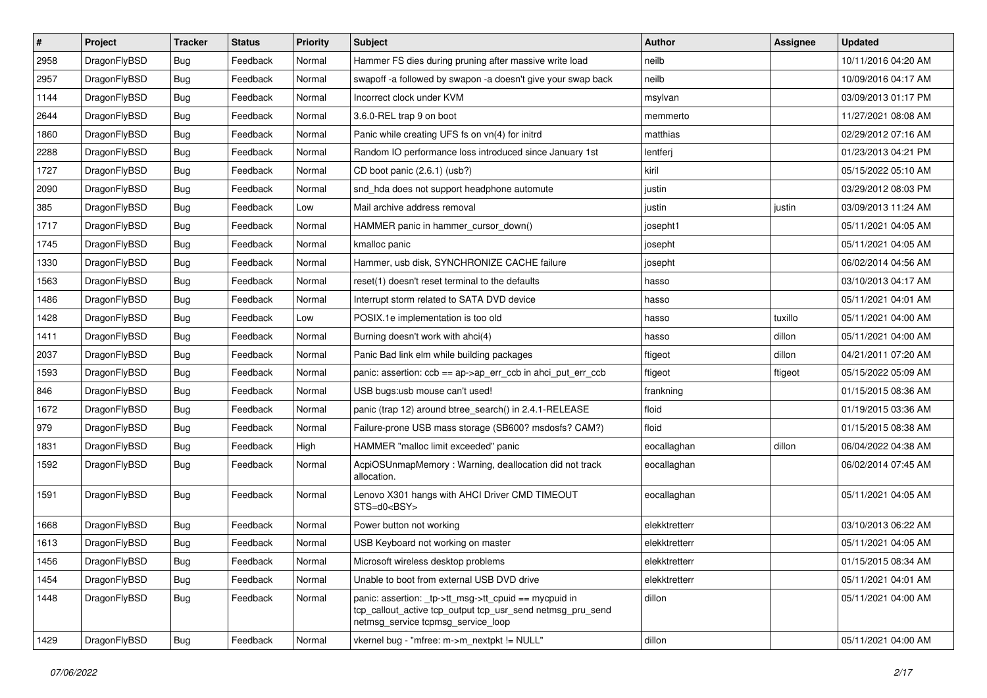| $\vert$ # | Project      | <b>Tracker</b> | <b>Status</b> | <b>Priority</b> | <b>Subject</b>                                                                                                                                            | <b>Author</b> | <b>Assignee</b> | <b>Updated</b>      |
|-----------|--------------|----------------|---------------|-----------------|-----------------------------------------------------------------------------------------------------------------------------------------------------------|---------------|-----------------|---------------------|
| 2958      | DragonFlyBSD | <b>Bug</b>     | Feedback      | Normal          | Hammer FS dies during pruning after massive write load                                                                                                    | neilb         |                 | 10/11/2016 04:20 AM |
| 2957      | DragonFlyBSD | Bug            | Feedback      | Normal          | swapoff -a followed by swapon -a doesn't give your swap back                                                                                              | neilb         |                 | 10/09/2016 04:17 AM |
| 1144      | DragonFlyBSD | <b>Bug</b>     | Feedback      | Normal          | Incorrect clock under KVM                                                                                                                                 | msylvan       |                 | 03/09/2013 01:17 PM |
| 2644      | DragonFlyBSD | <b>Bug</b>     | Feedback      | Normal          | 3.6.0-REL trap 9 on boot                                                                                                                                  | memmerto      |                 | 11/27/2021 08:08 AM |
| 1860      | DragonFlyBSD | <b>Bug</b>     | Feedback      | Normal          | Panic while creating UFS fs on vn(4) for initrd                                                                                                           | matthias      |                 | 02/29/2012 07:16 AM |
| 2288      | DragonFlyBSD | <b>Bug</b>     | Feedback      | Normal          | Random IO performance loss introduced since January 1st                                                                                                   | lentferj      |                 | 01/23/2013 04:21 PM |
| 1727      | DragonFlyBSD | Bug            | Feedback      | Normal          | CD boot panic (2.6.1) (usb?)                                                                                                                              | kiril         |                 | 05/15/2022 05:10 AM |
| 2090      | DragonFlyBSD | Bug            | Feedback      | Normal          | snd hda does not support headphone automute                                                                                                               | justin        |                 | 03/29/2012 08:03 PM |
| 385       | DragonFlyBSD | <b>Bug</b>     | Feedback      | Low             | Mail archive address removal                                                                                                                              | justin        | justin          | 03/09/2013 11:24 AM |
| 1717      | DragonFlyBSD | Bug            | Feedback      | Normal          | HAMMER panic in hammer_cursor_down()                                                                                                                      | josepht1      |                 | 05/11/2021 04:05 AM |
| 1745      | DragonFlyBSD | Bug            | Feedback      | Normal          | kmalloc panic                                                                                                                                             | josepht       |                 | 05/11/2021 04:05 AM |
| 1330      | DragonFlyBSD | Bug            | Feedback      | Normal          | Hammer, usb disk, SYNCHRONIZE CACHE failure                                                                                                               | josepht       |                 | 06/02/2014 04:56 AM |
| 1563      | DragonFlyBSD | <b>Bug</b>     | Feedback      | Normal          | reset(1) doesn't reset terminal to the defaults                                                                                                           | hasso         |                 | 03/10/2013 04:17 AM |
| 1486      | DragonFlyBSD | <b>Bug</b>     | Feedback      | Normal          | Interrupt storm related to SATA DVD device                                                                                                                | hasso         |                 | 05/11/2021 04:01 AM |
| 1428      | DragonFlyBSD | Bug            | Feedback      | Low             | POSIX.1e implementation is too old                                                                                                                        | hasso         | tuxillo         | 05/11/2021 04:00 AM |
| 1411      | DragonFlyBSD | <b>Bug</b>     | Feedback      | Normal          | Burning doesn't work with ahci(4)                                                                                                                         | hasso         | dillon          | 05/11/2021 04:00 AM |
| 2037      | DragonFlyBSD | <b>Bug</b>     | Feedback      | Normal          | Panic Bad link elm while building packages                                                                                                                | ftigeot       | dillon          | 04/21/2011 07:20 AM |
| 1593      | DragonFlyBSD | <b>Bug</b>     | Feedback      | Normal          | panic: assertion: ccb == ap->ap_err_ccb in ahci_put_err_ccb                                                                                               | ftigeot       | ftigeot         | 05/15/2022 05:09 AM |
| 846       | DragonFlyBSD | <b>Bug</b>     | Feedback      | Normal          | USB bugs:usb mouse can't used!                                                                                                                            | frankning     |                 | 01/15/2015 08:36 AM |
| 1672      | DragonFlyBSD | Bug            | Feedback      | Normal          | panic (trap 12) around btree_search() in 2.4.1-RELEASE                                                                                                    | floid         |                 | 01/19/2015 03:36 AM |
| 979       | DragonFlyBSD | <b>Bug</b>     | Feedback      | Normal          | Failure-prone USB mass storage (SB600? msdosfs? CAM?)                                                                                                     | floid         |                 | 01/15/2015 08:38 AM |
| 1831      | DragonFlyBSD | <b>Bug</b>     | Feedback      | High            | HAMMER "malloc limit exceeded" panic                                                                                                                      | eocallaghan   | dillon          | 06/04/2022 04:38 AM |
| 1592      | DragonFlyBSD | Bug            | Feedback      | Normal          | AcpiOSUnmapMemory: Warning, deallocation did not track<br>allocation.                                                                                     | eocallaghan   |                 | 06/02/2014 07:45 AM |
| 1591      | DragonFlyBSD | <b>Bug</b>     | Feedback      | Normal          | Lenovo X301 hangs with AHCI Driver CMD TIMEOUT<br>STS=d0 <bsy></bsy>                                                                                      | eocallaghan   |                 | 05/11/2021 04:05 AM |
| 1668      | DragonFlyBSD | <b>Bug</b>     | Feedback      | Normal          | Power button not working                                                                                                                                  | elekktretterr |                 | 03/10/2013 06:22 AM |
| 1613      | DragonFlyBSD | Bug            | Feedback      | Normal          | USB Keyboard not working on master                                                                                                                        | elekktretterr |                 | 05/11/2021 04:05 AM |
| 1456      | DragonFlyBSD | Bug            | Feedback      | Normal          | Microsoft wireless desktop problems                                                                                                                       | elekktretterr |                 | 01/15/2015 08:34 AM |
| 1454      | DragonFlyBSD | <b>Bug</b>     | Feedback      | Normal          | Unable to boot from external USB DVD drive                                                                                                                | elekktretterr |                 | 05/11/2021 04:01 AM |
| 1448      | DragonFlyBSD | <b>Bug</b>     | Feedback      | Normal          | panic: assertion: _tp->tt_msg->tt_cpuid == mycpuid in<br>tcp_callout_active tcp_output tcp_usr_send netmsg_pru_send<br>netmsg_service tcpmsg_service_loop | dillon        |                 | 05/11/2021 04:00 AM |
| 1429      | DragonFlyBSD | <b>Bug</b>     | Feedback      | Normal          | vkernel bug - "mfree: m->m_nextpkt != NULL"                                                                                                               | dillon        |                 | 05/11/2021 04:00 AM |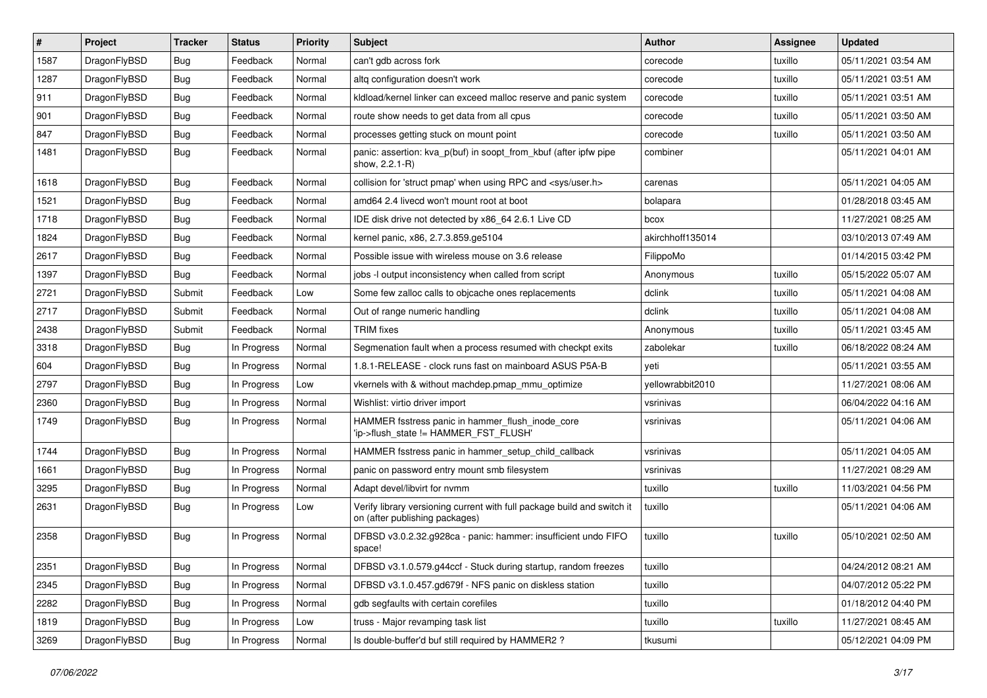| $\vert$ # | Project      | <b>Tracker</b> | <b>Status</b> | <b>Priority</b> | Subject                                                                                                   | <b>Author</b>    | Assignee | <b>Updated</b>      |
|-----------|--------------|----------------|---------------|-----------------|-----------------------------------------------------------------------------------------------------------|------------------|----------|---------------------|
| 1587      | DragonFlyBSD | Bug            | Feedback      | Normal          | can't gdb across fork                                                                                     | corecode         | tuxillo  | 05/11/2021 03:54 AM |
| 1287      | DragonFlyBSD | Bug            | Feedback      | Normal          | altg configuration doesn't work                                                                           | corecode         | tuxillo  | 05/11/2021 03:51 AM |
| 911       | DragonFlyBSD | Bug            | Feedback      | Normal          | kldload/kernel linker can exceed malloc reserve and panic system                                          | corecode         | tuxillo  | 05/11/2021 03:51 AM |
| 901       | DragonFlyBSD | Bug            | Feedback      | Normal          | route show needs to get data from all cpus                                                                | corecode         | tuxillo  | 05/11/2021 03:50 AM |
| 847       | DragonFlyBSD | Bug            | Feedback      | Normal          | processes getting stuck on mount point                                                                    | corecode         | tuxillo  | 05/11/2021 03:50 AM |
| 1481      | DragonFlyBSD | Bug            | Feedback      | Normal          | panic: assertion: kva_p(buf) in soopt_from_kbuf (after ipfw pipe<br>show, 2.2.1-R)                        | combiner         |          | 05/11/2021 04:01 AM |
| 1618      | DragonFlyBSD | Bug            | Feedback      | Normal          | collision for 'struct pmap' when using RPC and <sys user.h=""></sys>                                      | carenas          |          | 05/11/2021 04:05 AM |
| 1521      | DragonFlyBSD | Bug            | Feedback      | Normal          | amd64 2.4 livecd won't mount root at boot                                                                 | bolapara         |          | 01/28/2018 03:45 AM |
| 1718      | DragonFlyBSD | Bug            | Feedback      | Normal          | IDE disk drive not detected by x86_64 2.6.1 Live CD                                                       | bcox             |          | 11/27/2021 08:25 AM |
| 1824      | DragonFlyBSD | Bug            | Feedback      | Normal          | kernel panic, x86, 2.7.3.859.ge5104                                                                       | akirchhoff135014 |          | 03/10/2013 07:49 AM |
| 2617      | DragonFlyBSD | Bug            | Feedback      | Normal          | Possible issue with wireless mouse on 3.6 release                                                         | FilippoMo        |          | 01/14/2015 03:42 PM |
| 1397      | DragonFlyBSD | Bug            | Feedback      | Normal          | jobs -I output inconsistency when called from script                                                      | Anonymous        | tuxillo  | 05/15/2022 05:07 AM |
| 2721      | DragonFlyBSD | Submit         | Feedback      | Low             | Some few zalloc calls to objcache ones replacements                                                       | dclink           | tuxillo  | 05/11/2021 04:08 AM |
| 2717      | DragonFlyBSD | Submit         | Feedback      | Normal          | Out of range numeric handling                                                                             | dclink           | tuxillo  | 05/11/2021 04:08 AM |
| 2438      | DragonFlyBSD | Submit         | Feedback      | Normal          | <b>TRIM</b> fixes                                                                                         | Anonymous        | tuxillo  | 05/11/2021 03:45 AM |
| 3318      | DragonFlyBSD | Bug            | In Progress   | Normal          | Segmenation fault when a process resumed with checkpt exits                                               | zabolekar        | tuxillo  | 06/18/2022 08:24 AM |
| 604       | DragonFlyBSD | Bug            | In Progress   | Normal          | 1.8.1-RELEASE - clock runs fast on mainboard ASUS P5A-B                                                   | yeti             |          | 05/11/2021 03:55 AM |
| 2797      | DragonFlyBSD | Bug            | In Progress   | Low             | vkernels with & without machdep.pmap_mmu_optimize                                                         | yellowrabbit2010 |          | 11/27/2021 08:06 AM |
| 2360      | DragonFlyBSD | Bug            | In Progress   | Normal          | Wishlist: virtio driver import                                                                            | vsrinivas        |          | 06/04/2022 04:16 AM |
| 1749      | DragonFlyBSD | Bug            | In Progress   | Normal          | HAMMER fsstress panic in hammer_flush_inode_core<br>'ip->flush_state != HAMMER_FST_FLUSH'                 | vsrinivas        |          | 05/11/2021 04:06 AM |
| 1744      | DragonFlyBSD | Bug            | In Progress   | Normal          | HAMMER fsstress panic in hammer_setup_child_callback                                                      | vsrinivas        |          | 05/11/2021 04:05 AM |
| 1661      | DragonFlyBSD | Bug            | In Progress   | Normal          | panic on password entry mount smb filesystem                                                              | vsrinivas        |          | 11/27/2021 08:29 AM |
| 3295      | DragonFlyBSD | Bug            | In Progress   | Normal          | Adapt devel/libvirt for nvmm                                                                              | tuxillo          | tuxillo  | 11/03/2021 04:56 PM |
| 2631      | DragonFlyBSD | Bug            | In Progress   | Low             | Verify library versioning current with full package build and switch it<br>on (after publishing packages) | tuxillo          |          | 05/11/2021 04:06 AM |
| 2358      | DragonFlyBSD | Bug            | In Progress   | Normal          | DFBSD v3.0.2.32.g928ca - panic: hammer: insufficient undo FIFO<br>space!                                  | tuxillo          | tuxillo  | 05/10/2021 02:50 AM |
| 2351      | DragonFlyBSD | <b>Bug</b>     | In Progress   | Normal          | DFBSD v3.1.0.579.g44ccf - Stuck during startup, random freezes                                            | tuxillo          |          | 04/24/2012 08:21 AM |
| 2345      | DragonFlyBSD | <b>Bug</b>     | In Progress   | Normal          | DFBSD v3.1.0.457.gd679f - NFS panic on diskless station                                                   | tuxillo          |          | 04/07/2012 05:22 PM |
| 2282      | DragonFlyBSD | <b>Bug</b>     | In Progress   | Normal          | gdb segfaults with certain corefiles                                                                      | tuxillo          |          | 01/18/2012 04:40 PM |
| 1819      | DragonFlyBSD | <b>Bug</b>     | In Progress   | Low             | truss - Major revamping task list                                                                         | tuxillo          | tuxillo  | 11/27/2021 08:45 AM |
| 3269      | DragonFlyBSD | Bug            | In Progress   | Normal          | Is double-buffer'd buf still required by HAMMER2 ?                                                        | tkusumi          |          | 05/12/2021 04:09 PM |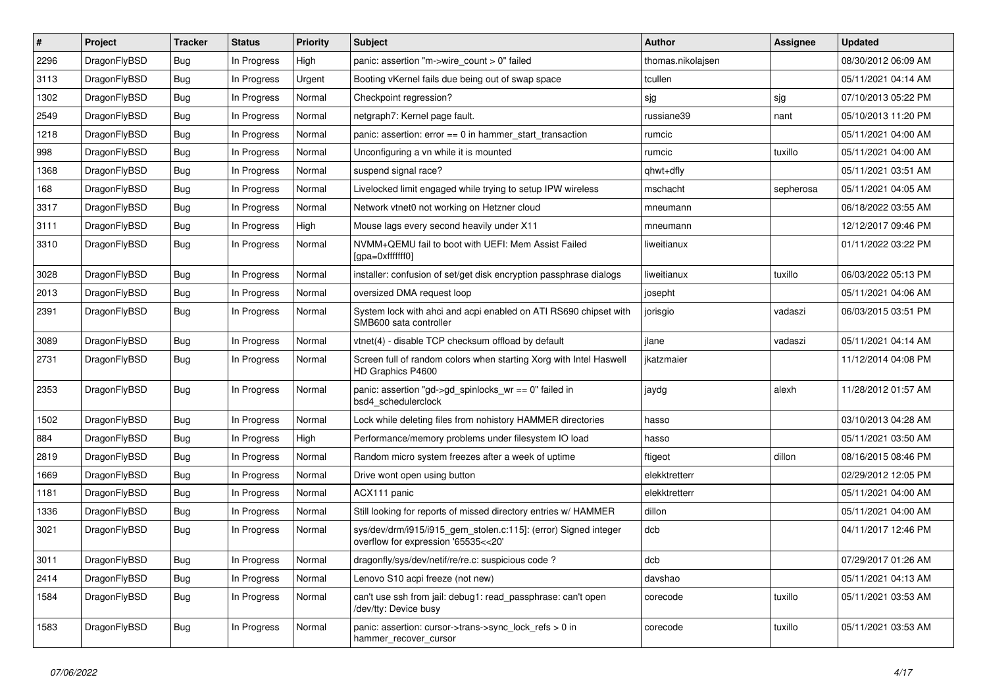| #    | Project      | <b>Tracker</b> | <b>Status</b> | <b>Priority</b> | Subject                                                                                                | <b>Author</b>     | Assignee  | <b>Updated</b>      |
|------|--------------|----------------|---------------|-----------------|--------------------------------------------------------------------------------------------------------|-------------------|-----------|---------------------|
| 2296 | DragonFlyBSD | Bug            | In Progress   | High            | panic: assertion "m->wire count > 0" failed                                                            | thomas.nikolajsen |           | 08/30/2012 06:09 AM |
| 3113 | DragonFlyBSD | Bug            | In Progress   | Urgent          | Booting vKernel fails due being out of swap space                                                      | tcullen           |           | 05/11/2021 04:14 AM |
| 1302 | DragonFlyBSD | Bug            | In Progress   | Normal          | Checkpoint regression?                                                                                 | sjg               | sjg       | 07/10/2013 05:22 PM |
| 2549 | DragonFlyBSD | Bug            | In Progress   | Normal          | netgraph7: Kernel page fault.                                                                          | russiane39        | nant      | 05/10/2013 11:20 PM |
| 1218 | DragonFlyBSD | Bug            | In Progress   | Normal          | panic: assertion: $error == 0$ in hammer start transaction                                             | rumcic            |           | 05/11/2021 04:00 AM |
| 998  | DragonFlyBSD | Bug            | In Progress   | Normal          | Unconfiguring a vn while it is mounted                                                                 | rumcic            | tuxillo   | 05/11/2021 04:00 AM |
| 1368 | DragonFlyBSD | Bug            | In Progress   | Normal          | suspend signal race?                                                                                   | qhwt+dfly         |           | 05/11/2021 03:51 AM |
| 168  | DragonFlyBSD | Bug            | In Progress   | Normal          | Livelocked limit engaged while trying to setup IPW wireless                                            | mschacht          | sepherosa | 05/11/2021 04:05 AM |
| 3317 | DragonFlyBSD | Bug            | In Progress   | Normal          | Network vtnet0 not working on Hetzner cloud                                                            | mneumann          |           | 06/18/2022 03:55 AM |
| 3111 | DragonFlyBSD | Bug            | In Progress   | High            | Mouse lags every second heavily under X11                                                              | mneumann          |           | 12/12/2017 09:46 PM |
| 3310 | DragonFlyBSD | Bug            | In Progress   | Normal          | NVMM+QEMU fail to boot with UEFI: Mem Assist Failed<br>[gpa=0xfffffff0]                                | liweitianux       |           | 01/11/2022 03:22 PM |
| 3028 | DragonFlyBSD | Bug            | In Progress   | Normal          | installer: confusion of set/get disk encryption passphrase dialogs                                     | liweitianux       | tuxillo   | 06/03/2022 05:13 PM |
| 2013 | DragonFlyBSD | Bug            | In Progress   | Normal          | oversized DMA request loop                                                                             | josepht           |           | 05/11/2021 04:06 AM |
| 2391 | DragonFlyBSD | Bug            | In Progress   | Normal          | System lock with ahci and acpi enabled on ATI RS690 chipset with<br>SMB600 sata controller             | jorisgio          | vadaszi   | 06/03/2015 03:51 PM |
| 3089 | DragonFlyBSD | Bug            | In Progress   | Normal          | vtnet(4) - disable TCP checksum offload by default                                                     | jlane             | vadaszi   | 05/11/2021 04:14 AM |
| 2731 | DragonFlyBSD | Bug            | In Progress   | Normal          | Screen full of random colors when starting Xorg with Intel Haswell<br>HD Graphics P4600                | jkatzmaier        |           | 11/12/2014 04:08 PM |
| 2353 | DragonFlyBSD | Bug            | In Progress   | Normal          | panic: assertion "gd->gd_spinlocks_wr == 0" failed in<br>bsd4 schedulerclock                           | jaydg             | alexh     | 11/28/2012 01:57 AM |
| 1502 | DragonFlyBSD | Bug            | In Progress   | Normal          | Lock while deleting files from nohistory HAMMER directories                                            | hasso             |           | 03/10/2013 04:28 AM |
| 884  | DragonFlyBSD | Bug            | In Progress   | High            | Performance/memory problems under filesystem IO load                                                   | hasso             |           | 05/11/2021 03:50 AM |
| 2819 | DragonFlyBSD | Bug            | In Progress   | Normal          | Random micro system freezes after a week of uptime                                                     | ftigeot           | dillon    | 08/16/2015 08:46 PM |
| 1669 | DragonFlyBSD | Bug            | In Progress   | Normal          | Drive wont open using button                                                                           | elekktretterr     |           | 02/29/2012 12:05 PM |
| 1181 | DragonFlyBSD | Bug            | In Progress   | Normal          | ACX111 panic                                                                                           | elekktretterr     |           | 05/11/2021 04:00 AM |
| 1336 | DragonFlyBSD | Bug            | In Progress   | Normal          | Still looking for reports of missed directory entries w/ HAMMER                                        | dillon            |           | 05/11/2021 04:00 AM |
| 3021 | DragonFlyBSD | Bug            | In Progress   | Normal          | sys/dev/drm/i915/i915_gem_stolen.c:115]: (error) Signed integer<br>overflow for expression '65535<<20' | dcb               |           | 04/11/2017 12:46 PM |
| 3011 | DragonFlyBSD | <b>Bug</b>     | In Progress   | Normal          | dragonfly/sys/dev/netif/re/re.c: suspicious code ?                                                     | dcb               |           | 07/29/2017 01:26 AM |
| 2414 | DragonFlyBSD | Bug            | In Progress   | Normal          | Lenovo S10 acpi freeze (not new)                                                                       | davshao           |           | 05/11/2021 04:13 AM |
| 1584 | DragonFlyBSD | <b>Bug</b>     | In Progress   | Normal          | can't use ssh from jail: debug1: read_passphrase: can't open<br>/dev/tty: Device busy                  | corecode          | tuxillo   | 05/11/2021 03:53 AM |
| 1583 | DragonFlyBSD | <b>Bug</b>     | In Progress   | Normal          | panic: assertion: cursor->trans->sync_lock_refs > 0 in<br>hammer recover cursor                        | corecode          | tuxillo   | 05/11/2021 03:53 AM |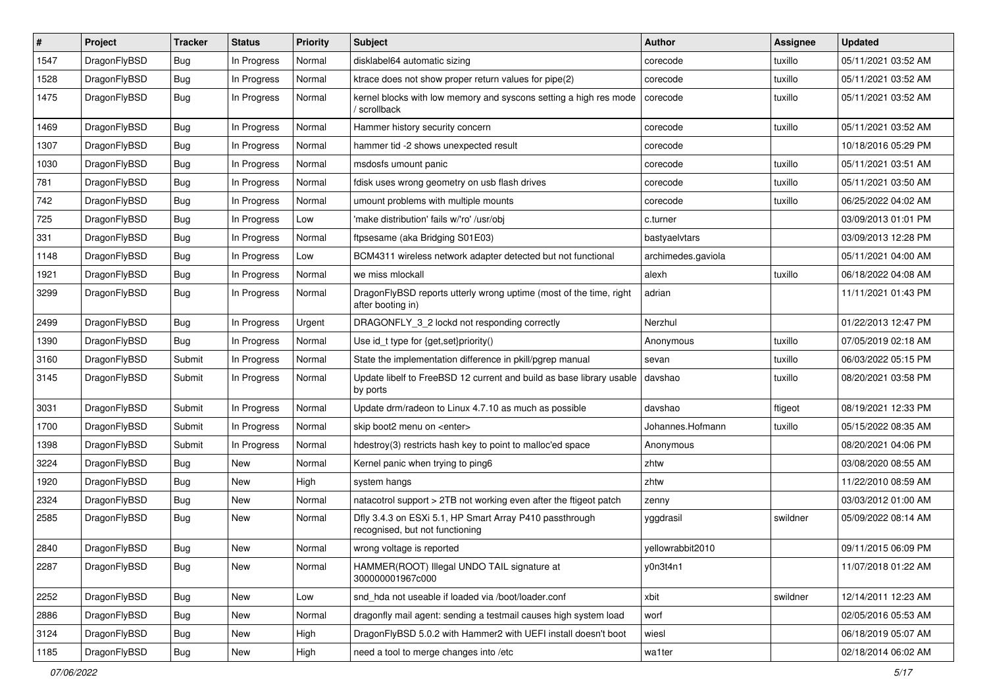| $\#$ | Project      | <b>Tracker</b> | <b>Status</b> | <b>Priority</b> | Subject                                                                                    | <b>Author</b>      | <b>Assignee</b> | <b>Updated</b>      |
|------|--------------|----------------|---------------|-----------------|--------------------------------------------------------------------------------------------|--------------------|-----------------|---------------------|
| 1547 | DragonFlyBSD | Bug            | In Progress   | Normal          | disklabel64 automatic sizing                                                               | corecode           | tuxillo         | 05/11/2021 03:52 AM |
| 1528 | DragonFlyBSD | Bug            | In Progress   | Normal          | ktrace does not show proper return values for pipe(2)                                      | corecode           | tuxillo         | 05/11/2021 03:52 AM |
| 1475 | DragonFlyBSD | Bug            | In Progress   | Normal          | kernel blocks with low memory and syscons setting a high res mode<br>/ scrollback          | corecode           | tuxillo         | 05/11/2021 03:52 AM |
| 1469 | DragonFlyBSD | Bug            | In Progress   | Normal          | Hammer history security concern                                                            | corecode           | tuxillo         | 05/11/2021 03:52 AM |
| 1307 | DragonFlyBSD | Bug            | In Progress   | Normal          | hammer tid -2 shows unexpected result                                                      | corecode           |                 | 10/18/2016 05:29 PM |
| 1030 | DragonFlyBSD | Bug            | In Progress   | Normal          | msdosfs umount panic                                                                       | corecode           | tuxillo         | 05/11/2021 03:51 AM |
| 781  | DragonFlyBSD | Bug            | In Progress   | Normal          | fdisk uses wrong geometry on usb flash drives                                              | corecode           | tuxillo         | 05/11/2021 03:50 AM |
| 742  | DragonFlyBSD | Bug            | In Progress   | Normal          | umount problems with multiple mounts                                                       | corecode           | tuxillo         | 06/25/2022 04:02 AM |
| 725  | DragonFlyBSD | Bug            | In Progress   | Low             | 'make distribution' fails w/'ro' /usr/obj                                                  | c.turner           |                 | 03/09/2013 01:01 PM |
| 331  | DragonFlyBSD | Bug            | In Progress   | Normal          | ftpsesame (aka Bridging S01E03)                                                            | bastyaelvtars      |                 | 03/09/2013 12:28 PM |
| 1148 | DragonFlyBSD | Bug            | In Progress   | Low             | BCM4311 wireless network adapter detected but not functional                               | archimedes.gaviola |                 | 05/11/2021 04:00 AM |
| 1921 | DragonFlyBSD | Bug            | In Progress   | Normal          | we miss mlockall                                                                           | alexh              | tuxillo         | 06/18/2022 04:08 AM |
| 3299 | DragonFlyBSD | <b>Bug</b>     | In Progress   | Normal          | DragonFlyBSD reports utterly wrong uptime (most of the time, right<br>after booting in)    | adrian             |                 | 11/11/2021 01:43 PM |
| 2499 | DragonFlyBSD | Bug            | In Progress   | Urgent          | DRAGONFLY_3_2 lockd not responding correctly                                               | Nerzhul            |                 | 01/22/2013 12:47 PM |
| 1390 | DragonFlyBSD | Bug            | In Progress   | Normal          | Use id_t type for {get,set}priority()                                                      | Anonymous          | tuxillo         | 07/05/2019 02:18 AM |
| 3160 | DragonFlyBSD | Submit         | In Progress   | Normal          | State the implementation difference in pkill/pgrep manual                                  | sevan              | tuxillo         | 06/03/2022 05:15 PM |
| 3145 | DragonFlyBSD | Submit         | In Progress   | Normal          | Update libelf to FreeBSD 12 current and build as base library usable<br>by ports           | davshao            | tuxillo         | 08/20/2021 03:58 PM |
| 3031 | DragonFlyBSD | Submit         | In Progress   | Normal          | Update drm/radeon to Linux 4.7.10 as much as possible                                      | davshao            | ftigeot         | 08/19/2021 12:33 PM |
| 1700 | DragonFlyBSD | Submit         | In Progress   | Normal          | skip boot2 menu on <enter></enter>                                                         | Johannes.Hofmann   | tuxillo         | 05/15/2022 08:35 AM |
| 1398 | DragonFlyBSD | Submit         | In Progress   | Normal          | hdestroy(3) restricts hash key to point to malloc'ed space                                 | Anonymous          |                 | 08/20/2021 04:06 PM |
| 3224 | DragonFlyBSD | Bug            | New           | Normal          | Kernel panic when trying to ping6                                                          | zhtw               |                 | 03/08/2020 08:55 AM |
| 1920 | DragonFlyBSD | Bug            | New           | High            | system hangs                                                                               | zhtw               |                 | 11/22/2010 08:59 AM |
| 2324 | DragonFlyBSD | Bug            | <b>New</b>    | Normal          | natacotrol support > 2TB not working even after the ftigeot patch                          | zenny              |                 | 03/03/2012 01:00 AM |
| 2585 | DragonFlyBSD | Bug            | New           | Normal          | Dfly 3.4.3 on ESXi 5.1, HP Smart Array P410 passthrough<br>recognised, but not functioning | yggdrasil          | swildner        | 05/09/2022 08:14 AM |
| 2840 | DragonFlyBSD | Bug            | New           | Normal          | wrong voltage is reported                                                                  | yellowrabbit2010   |                 | 09/11/2015 06:09 PM |
| 2287 | DragonFlyBSD | Bug            | New           | Normal          | HAMMER(ROOT) Illegal UNDO TAIL signature at<br>300000001967c000                            | y0n3t4n1           |                 | 11/07/2018 01:22 AM |
| 2252 | DragonFlyBSD | Bug            | New           | Low             | snd_hda not useable if loaded via /boot/loader.conf                                        | xbit               | swildner        | 12/14/2011 12:23 AM |
| 2886 | DragonFlyBSD | <b>Bug</b>     | <b>New</b>    | Normal          | dragonfly mail agent: sending a testmail causes high system load                           | worf               |                 | 02/05/2016 05:53 AM |
| 3124 | DragonFlyBSD | <b>Bug</b>     | New           | High            | DragonFlyBSD 5.0.2 with Hammer2 with UEFI install doesn't boot                             | wiesl              |                 | 06/18/2019 05:07 AM |
| 1185 | DragonFlyBSD | <b>Bug</b>     | New           | High            | need a tool to merge changes into /etc                                                     | wa1ter             |                 | 02/18/2014 06:02 AM |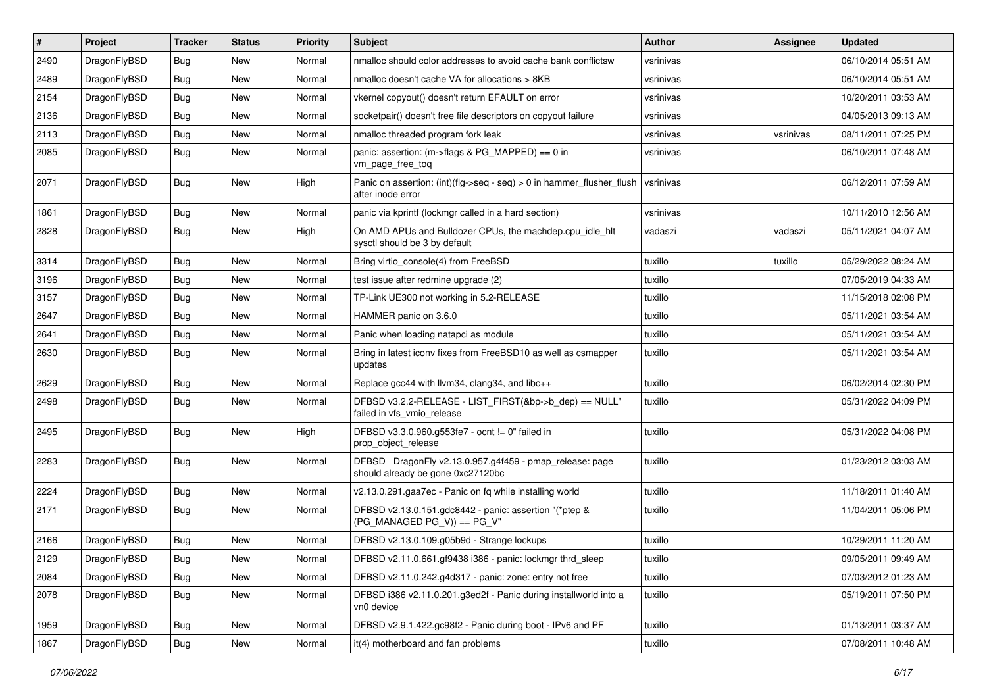| ∦    | Project      | <b>Tracker</b> | <b>Status</b> | <b>Priority</b> | <b>Subject</b>                                                                                | Author    | Assignee  | <b>Updated</b>      |
|------|--------------|----------------|---------------|-----------------|-----------------------------------------------------------------------------------------------|-----------|-----------|---------------------|
| 2490 | DragonFlyBSD | Bug            | <b>New</b>    | Normal          | nmalloc should color addresses to avoid cache bank conflictsw                                 | vsrinivas |           | 06/10/2014 05:51 AM |
| 2489 | DragonFlyBSD | Bug            | <b>New</b>    | Normal          | nmalloc doesn't cache VA for allocations > 8KB                                                | vsrinivas |           | 06/10/2014 05:51 AM |
| 2154 | DragonFlyBSD | Bug            | <b>New</b>    | Normal          | vkernel copyout() doesn't return EFAULT on error                                              | vsrinivas |           | 10/20/2011 03:53 AM |
| 2136 | DragonFlyBSD | Bug            | <b>New</b>    | Normal          | socketpair() doesn't free file descriptors on copyout failure                                 | vsrinivas |           | 04/05/2013 09:13 AM |
| 2113 | DragonFlyBSD | <b>Bug</b>     | <b>New</b>    | Normal          | nmalloc threaded program fork leak                                                            | vsrinivas | vsrinivas | 08/11/2011 07:25 PM |
| 2085 | DragonFlyBSD | Bug            | New           | Normal          | panic: assertion: (m->flags & PG_MAPPED) == 0 in<br>vm_page_free_toq                          | vsrinivas |           | 06/10/2011 07:48 AM |
| 2071 | DragonFlyBSD | <b>Bug</b>     | New           | High            | Panic on assertion: $(int)(flag->seq - seq) > 0$ in hammer flusher flush<br>after inode error | vsrinivas |           | 06/12/2011 07:59 AM |
| 1861 | DragonFlyBSD | Bug            | <b>New</b>    | Normal          | panic via kprintf (lockmgr called in a hard section)                                          | vsrinivas |           | 10/11/2010 12:56 AM |
| 2828 | DragonFlyBSD | <b>Bug</b>     | <b>New</b>    | High            | On AMD APUs and Bulldozer CPUs, the machdep.cpu_idle_hlt<br>sysctl should be 3 by default     | vadaszi   | vadaszi   | 05/11/2021 04:07 AM |
| 3314 | DragonFlyBSD | <b>Bug</b>     | <b>New</b>    | Normal          | Bring virtio_console(4) from FreeBSD                                                          | tuxillo   | tuxillo   | 05/29/2022 08:24 AM |
| 3196 | DragonFlyBSD | <b>Bug</b>     | New           | Normal          | test issue after redmine upgrade (2)                                                          | tuxillo   |           | 07/05/2019 04:33 AM |
| 3157 | DragonFlyBSD | Bug            | <b>New</b>    | Normal          | TP-Link UE300 not working in 5.2-RELEASE                                                      | tuxillo   |           | 11/15/2018 02:08 PM |
| 2647 | DragonFlyBSD | <b>Bug</b>     | <b>New</b>    | Normal          | HAMMER panic on 3.6.0                                                                         | tuxillo   |           | 05/11/2021 03:54 AM |
| 2641 | DragonFlyBSD | Bug            | <b>New</b>    | Normal          | Panic when loading natapci as module                                                          | tuxillo   |           | 05/11/2021 03:54 AM |
| 2630 | DragonFlyBSD | Bug            | New           | Normal          | Bring in latest iconv fixes from FreeBSD10 as well as csmapper<br>updates                     | tuxillo   |           | 05/11/2021 03:54 AM |
| 2629 | DragonFlyBSD | <b>Bug</b>     | <b>New</b>    | Normal          | Replace gcc44 with llvm34, clang34, and libc++                                                | tuxillo   |           | 06/02/2014 02:30 PM |
| 2498 | DragonFlyBSD | Bug            | <b>New</b>    | Normal          | DFBSD v3.2.2-RELEASE - LIST_FIRST(&bp->b_dep) == NULL"<br>failed in vfs vmio release          | tuxillo   |           | 05/31/2022 04:09 PM |
| 2495 | DragonFlyBSD | Bug            | <b>New</b>    | High            | DFBSD v3.3.0.960.g553fe7 - ocnt != 0" failed in<br>prop object release                        | tuxillo   |           | 05/31/2022 04:08 PM |
| 2283 | DragonFlyBSD | Bug            | <b>New</b>    | Normal          | DFBSD DragonFly v2.13.0.957.g4f459 - pmap_release: page<br>should already be gone 0xc27120bc  | tuxillo   |           | 01/23/2012 03:03 AM |
| 2224 | DragonFlyBSD | Bug            | <b>New</b>    | Normal          | v2.13.0.291.gaa7ec - Panic on fq while installing world                                       | tuxillo   |           | 11/18/2011 01:40 AM |
| 2171 | DragonFlyBSD | Bug            | <b>New</b>    | Normal          | DFBSD v2.13.0.151.gdc8442 - panic: assertion "(*ptep &<br>$(PG_MANAGED PG_V)) == PG_V"$       | tuxillo   |           | 11/04/2011 05:06 PM |
| 2166 | DragonFlyBSD | <b>Bug</b>     | <b>New</b>    | Normal          | DFBSD v2.13.0.109.g05b9d - Strange lockups                                                    | tuxillo   |           | 10/29/2011 11:20 AM |
| 2129 | DragonFlyBSD | Bug            | New           | Normal          | DFBSD v2.11.0.661.gf9438 i386 - panic: lockmgr thrd_sleep                                     | tuxillo   |           | 09/05/2011 09:49 AM |
| 2084 | DragonFlyBSD | <b>Bug</b>     | New           | Normal          | DFBSD v2.11.0.242.g4d317 - panic: zone: entry not free                                        | tuxillo   |           | 07/03/2012 01:23 AM |
| 2078 | DragonFlyBSD | <b>Bug</b>     | New           | Normal          | DFBSD i386 v2.11.0.201.g3ed2f - Panic during installworld into a<br>vn0 device                | tuxillo   |           | 05/19/2011 07:50 PM |
| 1959 | DragonFlyBSD | <b>Bug</b>     | New           | Normal          | DFBSD v2.9.1.422.gc98f2 - Panic during boot - IPv6 and PF                                     | tuxillo   |           | 01/13/2011 03:37 AM |
| 1867 | DragonFlyBSD | <b>Bug</b>     | New           | Normal          | it(4) motherboard and fan problems                                                            | tuxillo   |           | 07/08/2011 10:48 AM |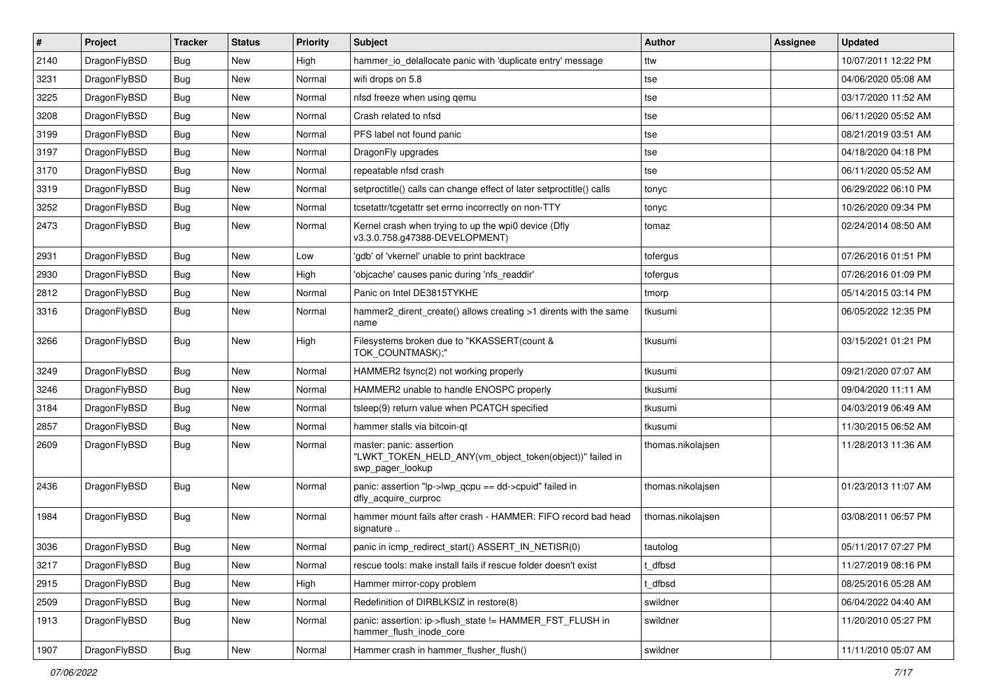| $\pmb{\#}$ | Project      | <b>Tracker</b> | <b>Status</b> | <b>Priority</b> | Subject                                                                                                  | <b>Author</b>     | Assignee | <b>Updated</b>      |
|------------|--------------|----------------|---------------|-----------------|----------------------------------------------------------------------------------------------------------|-------------------|----------|---------------------|
| 2140       | DragonFlyBSD | Bug            | New           | High            | hammer io delallocate panic with 'duplicate entry' message                                               | ttw               |          | 10/07/2011 12:22 PM |
| 3231       | DragonFlyBSD | Bug            | <b>New</b>    | Normal          | wifi drops on 5.8                                                                                        | tse               |          | 04/06/2020 05:08 AM |
| 3225       | DragonFlyBSD | Bug            | New           | Normal          | nfsd freeze when using gemu                                                                              | tse               |          | 03/17/2020 11:52 AM |
| 3208       | DragonFlyBSD | Bug            | New           | Normal          | Crash related to nfsd                                                                                    | tse               |          | 06/11/2020 05:52 AM |
| 3199       | DragonFlyBSD | Bug            | <b>New</b>    | Normal          | PFS label not found panic                                                                                | tse               |          | 08/21/2019 03:51 AM |
| 3197       | DragonFlyBSD | Bug            | New           | Normal          | DragonFly upgrades                                                                                       | tse               |          | 04/18/2020 04:18 PM |
| 3170       | DragonFlyBSD | Bug            | <b>New</b>    | Normal          | repeatable nfsd crash                                                                                    | tse               |          | 06/11/2020 05:52 AM |
| 3319       | DragonFlyBSD | Bug            | <b>New</b>    | Normal          | setproctitle() calls can change effect of later setproctitle() calls                                     | tonyc             |          | 06/29/2022 06:10 PM |
| 3252       | DragonFlyBSD | Bug            | <b>New</b>    | Normal          | tcsetattr/tcgetattr set errno incorrectly on non-TTY                                                     | tonyc             |          | 10/26/2020 09:34 PM |
| 2473       | DragonFlyBSD | Bug            | <b>New</b>    | Normal          | Kernel crash when trying to up the wpi0 device (Dfly<br>v3.3.0.758.g47388-DEVELOPMENT)                   | tomaz             |          | 02/24/2014 08:50 AM |
| 2931       | DragonFlyBSD | Bug            | <b>New</b>    | Low             | 'gdb' of 'vkernel' unable to print backtrace                                                             | tofergus          |          | 07/26/2016 01:51 PM |
| 2930       | DragonFlyBSD | Bug            | <b>New</b>    | High            | 'objcache' causes panic during 'nfs_readdir'                                                             | tofergus          |          | 07/26/2016 01:09 PM |
| 2812       | DragonFlyBSD | Bug            | <b>New</b>    | Normal          | Panic on Intel DE3815TYKHE                                                                               | tmorp             |          | 05/14/2015 03:14 PM |
| 3316       | DragonFlyBSD | Bug            | New           | Normal          | hammer2_dirent_create() allows creating >1 dirents with the same<br>name                                 | tkusumi           |          | 06/05/2022 12:35 PM |
| 3266       | DragonFlyBSD | Bug            | New           | High            | Filesystems broken due to "KKASSERT(count &<br>TOK COUNTMASK);"                                          | tkusumi           |          | 03/15/2021 01:21 PM |
| 3249       | DragonFlyBSD | <b>Bug</b>     | <b>New</b>    | Normal          | HAMMER2 fsync(2) not working properly                                                                    | tkusumi           |          | 09/21/2020 07:07 AM |
| 3246       | DragonFlyBSD | Bug            | New           | Normal          | HAMMER2 unable to handle ENOSPC properly                                                                 | tkusumi           |          | 09/04/2020 11:11 AM |
| 3184       | DragonFlyBSD | <b>Bug</b>     | <b>New</b>    | Normal          | tsleep(9) return value when PCATCH specified                                                             | tkusumi           |          | 04/03/2019 06:49 AM |
| 2857       | DragonFlyBSD | Bug            | <b>New</b>    | Normal          | hammer stalls via bitcoin-qt                                                                             | tkusumi           |          | 11/30/2015 06:52 AM |
| 2609       | DragonFlyBSD | Bug            | New           | Normal          | master: panic: assertion<br>"LWKT_TOKEN_HELD_ANY(vm_object_token(object))" failed in<br>swp pager lookup | thomas.nikolajsen |          | 11/28/2013 11:36 AM |
| 2436       | DragonFlyBSD | Bug            | <b>New</b>    | Normal          | panic: assertion "lp->lwp_qcpu == dd->cpuid" failed in<br>dfly acquire curproc                           | thomas.nikolajsen |          | 01/23/2013 11:07 AM |
| 1984       | DragonFlyBSD | Bug            | <b>New</b>    | Normal          | hammer mount fails after crash - HAMMER: FIFO record bad head<br>signature                               | thomas.nikolajsen |          | 03/08/2011 06:57 PM |
| 3036       | DragonFlyBSD | <b>Bug</b>     | New           | Normal          | panic in icmp redirect start() ASSERT IN NETISR(0)                                                       | tautolog          |          | 05/11/2017 07:27 PM |
| 3217       | DragonFlyBSD | <b>Bug</b>     | New           | Normal          | rescue tools: make install fails if rescue folder doesn't exist                                          | dfbsd             |          | 11/27/2019 08:16 PM |
| 2915       | DragonFlyBSD | Bug            | New           | High            | Hammer mirror-copy problem                                                                               | dfbsd             |          | 08/25/2016 05:28 AM |
| 2509       | DragonFlyBSD | Bug            | New           | Normal          | Redefinition of DIRBLKSIZ in restore(8)                                                                  | swildner          |          | 06/04/2022 04:40 AM |
| 1913       | DragonFlyBSD | <b>Bug</b>     | New           | Normal          | panic: assertion: ip->flush_state != HAMMER_FST_FLUSH in<br>hammer_flush_inode_core                      | swildner          |          | 11/20/2010 05:27 PM |
| 1907       | DragonFlyBSD | Bug            | New           | Normal          | Hammer crash in hammer_flusher_flush()                                                                   | swildner          |          | 11/11/2010 05:07 AM |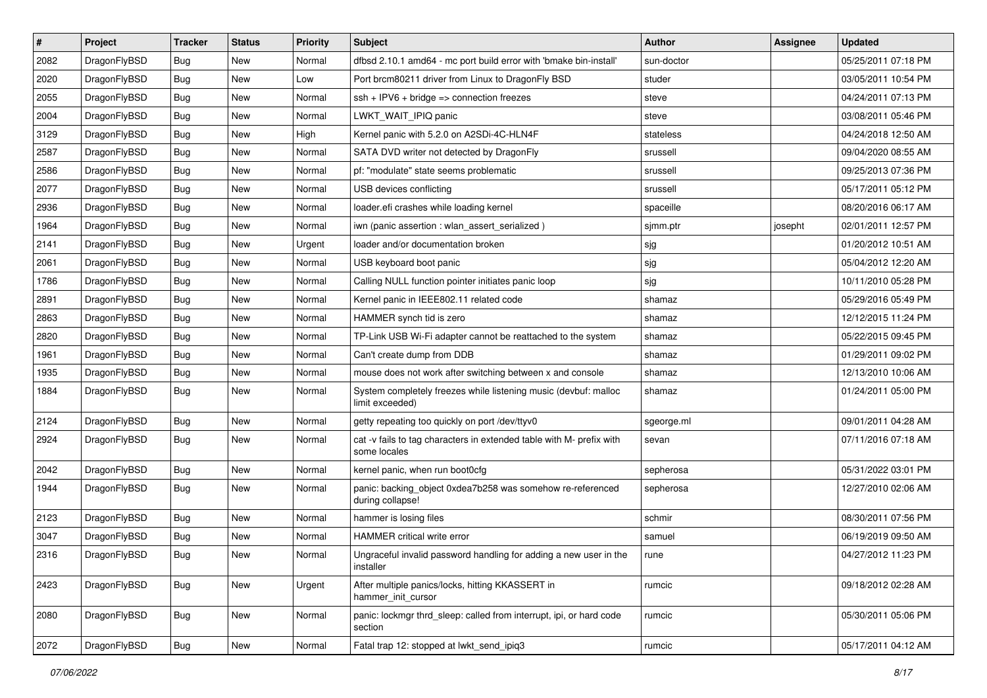| $\sharp$ | Project      | <b>Tracker</b>   | <b>Status</b> | <b>Priority</b> | Subject                                                                              | <b>Author</b> | Assignee | <b>Updated</b>      |
|----------|--------------|------------------|---------------|-----------------|--------------------------------------------------------------------------------------|---------------|----------|---------------------|
| 2082     | DragonFlyBSD | Bug              | New           | Normal          | dfbsd 2.10.1 amd64 - mc port build error with 'bmake bin-install'                    | sun-doctor    |          | 05/25/2011 07:18 PM |
| 2020     | DragonFlyBSD | Bug              | <b>New</b>    | Low             | Port brcm80211 driver from Linux to DragonFly BSD                                    | studer        |          | 03/05/2011 10:54 PM |
| 2055     | DragonFlyBSD | <b>Bug</b>       | New           | Normal          | $ssh + IPV6 + bridge \Rightarrow connection freezes$                                 | steve         |          | 04/24/2011 07:13 PM |
| 2004     | DragonFlyBSD | <b>Bug</b>       | New           | Normal          | LWKT_WAIT_IPIQ panic                                                                 | steve         |          | 03/08/2011 05:46 PM |
| 3129     | DragonFlyBSD | Bug              | <b>New</b>    | High            | Kernel panic with 5.2.0 on A2SDi-4C-HLN4F                                            | stateless     |          | 04/24/2018 12:50 AM |
| 2587     | DragonFlyBSD | <b>Bug</b>       | New           | Normal          | SATA DVD writer not detected by DragonFly                                            | srussell      |          | 09/04/2020 08:55 AM |
| 2586     | DragonFlyBSD | Bug              | New           | Normal          | pf: "modulate" state seems problematic                                               | srussell      |          | 09/25/2013 07:36 PM |
| 2077     | DragonFlyBSD | <b>Bug</b>       | New           | Normal          | USB devices conflicting                                                              | srussell      |          | 05/17/2011 05:12 PM |
| 2936     | DragonFlyBSD | <b>Bug</b>       | New           | Normal          | loader.efi crashes while loading kernel                                              | spaceille     |          | 08/20/2016 06:17 AM |
| 1964     | DragonFlyBSD | Bug              | <b>New</b>    | Normal          | iwn (panic assertion : wlan_assert_serialized)                                       | sjmm.ptr      | josepht  | 02/01/2011 12:57 PM |
| 2141     | DragonFlyBSD | <b>Bug</b>       | New           | Urgent          | loader and/or documentation broken                                                   | sjg           |          | 01/20/2012 10:51 AM |
| 2061     | DragonFlyBSD | Bug              | New           | Normal          | USB keyboard boot panic                                                              | sjg           |          | 05/04/2012 12:20 AM |
| 1786     | DragonFlyBSD | <b>Bug</b>       | New           | Normal          | Calling NULL function pointer initiates panic loop                                   | sjg           |          | 10/11/2010 05:28 PM |
| 2891     | DragonFlyBSD | <b>Bug</b>       | New           | Normal          | Kernel panic in IEEE802.11 related code                                              | shamaz        |          | 05/29/2016 05:49 PM |
| 2863     | DragonFlyBSD | Bug              | <b>New</b>    | Normal          | HAMMER synch tid is zero                                                             | shamaz        |          | 12/12/2015 11:24 PM |
| 2820     | DragonFlyBSD | <b>Bug</b>       | New           | Normal          | TP-Link USB Wi-Fi adapter cannot be reattached to the system                         | shamaz        |          | 05/22/2015 09:45 PM |
| 1961     | DragonFlyBSD | <b>Bug</b>       | New           | Normal          | Can't create dump from DDB                                                           | shamaz        |          | 01/29/2011 09:02 PM |
| 1935     | DragonFlyBSD | Bug              | <b>New</b>    | Normal          | mouse does not work after switching between x and console                            | shamaz        |          | 12/13/2010 10:06 AM |
| 1884     | DragonFlyBSD | Bug              | New           | Normal          | System completely freezes while listening music (devbuf: malloc<br>limit exceeded)   | shamaz        |          | 01/24/2011 05:00 PM |
| 2124     | DragonFlyBSD | Bug              | <b>New</b>    | Normal          | getty repeating too quickly on port /dev/ttyv0                                       | sgeorge.ml    |          | 09/01/2011 04:28 AM |
| 2924     | DragonFlyBSD | Bug              | <b>New</b>    | Normal          | cat -v fails to tag characters in extended table with M- prefix with<br>some locales | sevan         |          | 07/11/2016 07:18 AM |
| 2042     | DragonFlyBSD | Bug              | <b>New</b>    | Normal          | kernel panic, when run boot0cfg                                                      | sepherosa     |          | 05/31/2022 03:01 PM |
| 1944     | DragonFlyBSD | Bug              | New           | Normal          | panic: backing_object 0xdea7b258 was somehow re-referenced<br>during collapse!       | sepherosa     |          | 12/27/2010 02:06 AM |
| 2123     | DragonFlyBSD | Bug              | <b>New</b>    | Normal          | hammer is losing files                                                               | schmir        |          | 08/30/2011 07:56 PM |
| 3047     | DragonFlyBSD | Bug              | New           | Normal          | HAMMER critical write error                                                          | samuel        |          | 06/19/2019 09:50 AM |
| 2316     | DragonFlyBSD | <sub>I</sub> Bug | <b>New</b>    | Normal          | Ungraceful invalid password handling for adding a new user in the<br>installer       | rune          |          | 04/27/2012 11:23 PM |
| 2423     | DragonFlyBSD | Bug              | New           | Urgent          | After multiple panics/locks, hitting KKASSERT in<br>hammer init cursor               | rumcic        |          | 09/18/2012 02:28 AM |
| 2080     | DragonFlyBSD | Bug              | New           | Normal          | panic: lockmgr thrd sleep: called from interrupt, ipi, or hard code<br>section       | rumcic        |          | 05/30/2011 05:06 PM |
| 2072     | DragonFlyBSD | <b>Bug</b>       | New           | Normal          | Fatal trap 12: stopped at lwkt_send_ipiq3                                            | rumcic        |          | 05/17/2011 04:12 AM |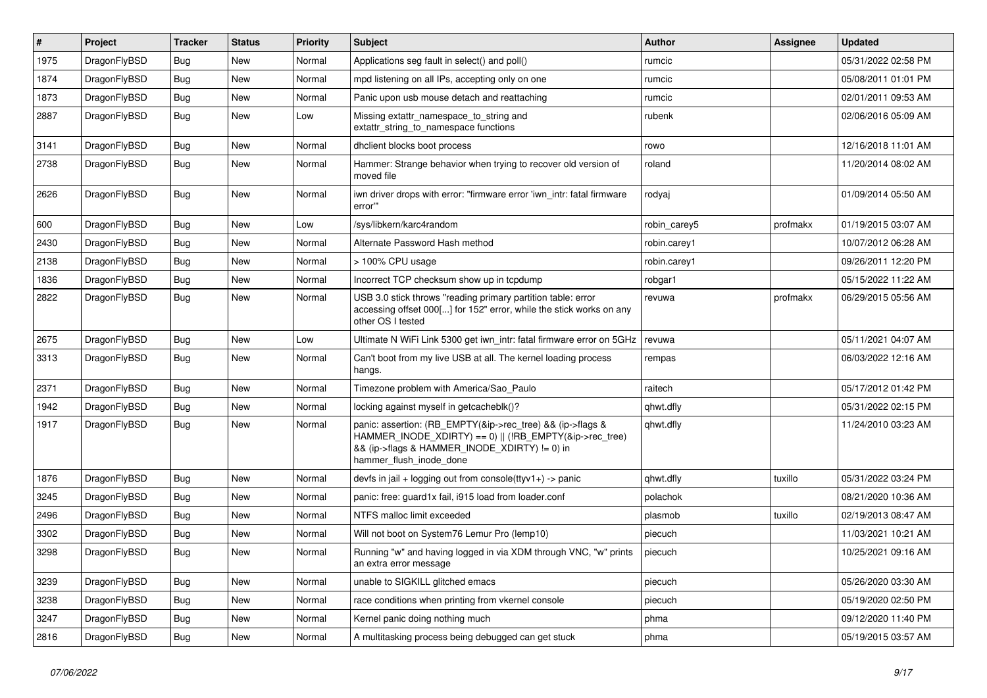| $\vert$ # | Project      | <b>Tracker</b> | <b>Status</b> | <b>Priority</b> | <b>Subject</b>                                                                                                                                                                                    | <b>Author</b> | Assignee | <b>Updated</b>      |
|-----------|--------------|----------------|---------------|-----------------|---------------------------------------------------------------------------------------------------------------------------------------------------------------------------------------------------|---------------|----------|---------------------|
| 1975      | DragonFlyBSD | <b>Bug</b>     | <b>New</b>    | Normal          | Applications seg fault in select() and poll()                                                                                                                                                     | rumcic        |          | 05/31/2022 02:58 PM |
| 1874      | DragonFlyBSD | Bug            | <b>New</b>    | Normal          | mpd listening on all IPs, accepting only on one                                                                                                                                                   | rumcic        |          | 05/08/2011 01:01 PM |
| 1873      | DragonFlyBSD | Bug            | <b>New</b>    | Normal          | Panic upon usb mouse detach and reattaching                                                                                                                                                       | rumcic        |          | 02/01/2011 09:53 AM |
| 2887      | DragonFlyBSD | Bug            | <b>New</b>    | Low             | Missing extattr namespace to string and<br>extattr string to namespace functions                                                                                                                  | rubenk        |          | 02/06/2016 05:09 AM |
| 3141      | DragonFlyBSD | Bug            | <b>New</b>    | Normal          | dhclient blocks boot process                                                                                                                                                                      | rowo          |          | 12/16/2018 11:01 AM |
| 2738      | DragonFlyBSD | <b>Bug</b>     | <b>New</b>    | Normal          | Hammer: Strange behavior when trying to recover old version of<br>moved file                                                                                                                      | roland        |          | 11/20/2014 08:02 AM |
| 2626      | DragonFlyBSD | <b>Bug</b>     | New           | Normal          | iwn driver drops with error: "firmware error 'iwn intr: fatal firmware<br>error"                                                                                                                  | rodyaj        |          | 01/09/2014 05:50 AM |
| 600       | DragonFlyBSD | <b>Bug</b>     | <b>New</b>    | Low             | /sys/libkern/karc4random                                                                                                                                                                          | robin_carey5  | profmakx | 01/19/2015 03:07 AM |
| 2430      | DragonFlyBSD | <b>Bug</b>     | <b>New</b>    | Normal          | Alternate Password Hash method                                                                                                                                                                    | robin.carey1  |          | 10/07/2012 06:28 AM |
| 2138      | DragonFlyBSD | <b>Bug</b>     | <b>New</b>    | Normal          | > 100% CPU usage                                                                                                                                                                                  | robin.carey1  |          | 09/26/2011 12:20 PM |
| 1836      | DragonFlyBSD | Bug            | <b>New</b>    | Normal          | Incorrect TCP checksum show up in tcpdump                                                                                                                                                         | robgar1       |          | 05/15/2022 11:22 AM |
| 2822      | DragonFlyBSD | <b>Bug</b>     | <b>New</b>    | Normal          | USB 3.0 stick throws "reading primary partition table: error<br>accessing offset 000[] for 152" error, while the stick works on any<br>other OS I tested                                          | revuwa        | profmakx | 06/29/2015 05:56 AM |
| 2675      | DragonFlyBSD | Bug            | <b>New</b>    | Low             | Ultimate N WiFi Link 5300 get iwn intr: fatal firmware error on 5GHz                                                                                                                              | revuwa        |          | 05/11/2021 04:07 AM |
| 3313      | DragonFlyBSD | Bug            | New           | Normal          | Can't boot from my live USB at all. The kernel loading process<br>hangs.                                                                                                                          | rempas        |          | 06/03/2022 12:16 AM |
| 2371      | DragonFlyBSD | <b>Bug</b>     | <b>New</b>    | Normal          | Timezone problem with America/Sao Paulo                                                                                                                                                           | raitech       |          | 05/17/2012 01:42 PM |
| 1942      | DragonFlyBSD | <b>Bug</b>     | <b>New</b>    | Normal          | locking against myself in getcacheblk()?                                                                                                                                                          | qhwt.dfly     |          | 05/31/2022 02:15 PM |
| 1917      | DragonFlyBSD | <b>Bug</b>     | <b>New</b>    | Normal          | panic: assertion: (RB_EMPTY(&ip->rec_tree) && (ip->flags &<br>HAMMER INODE XDIRTY) == 0)    (!RB EMPTY(&ip->rec tree)<br>&& (ip->flags & HAMMER_INODE_XDIRTY) != 0) in<br>hammer flush inode done | qhwt.dfly     |          | 11/24/2010 03:23 AM |
| 1876      | DragonFlyBSD | Bug            | <b>New</b>    | Normal          | devfs in jail + logging out from console(ttyv1+) -> panic                                                                                                                                         | qhwt.dfly     | tuxillo  | 05/31/2022 03:24 PM |
| 3245      | DragonFlyBSD | Bug            | <b>New</b>    | Normal          | panic: free: guard1x fail, i915 load from loader.conf                                                                                                                                             | polachok      |          | 08/21/2020 10:36 AM |
| 2496      | DragonFlyBSD | Bug            | <b>New</b>    | Normal          | NTFS malloc limit exceeded                                                                                                                                                                        | plasmob       | tuxillo  | 02/19/2013 08:47 AM |
| 3302      | DragonFlyBSD | Bug            | <b>New</b>    | Normal          | Will not boot on System76 Lemur Pro (lemp10)                                                                                                                                                      | piecuch       |          | 11/03/2021 10:21 AM |
| 3298      | DragonFlyBSD | Bug            | <b>New</b>    | Normal          | Running "w" and having logged in via XDM through VNC, "w" prints<br>an extra error message                                                                                                        | piecuch       |          | 10/25/2021 09:16 AM |
| 3239      | DragonFlyBSD | Bug            | <b>New</b>    | Normal          | unable to SIGKILL glitched emacs                                                                                                                                                                  | piecuch       |          | 05/26/2020 03:30 AM |
| 3238      | DragonFlyBSD | Bug            | New           | Normal          | race conditions when printing from vkernel console                                                                                                                                                | piecuch       |          | 05/19/2020 02:50 PM |
| 3247      | DragonFlyBSD | Bug            | <b>New</b>    | Normal          | Kernel panic doing nothing much                                                                                                                                                                   | phma          |          | 09/12/2020 11:40 PM |
| 2816      | DragonFlyBSD | <b>Bug</b>     | New           | Normal          | A multitasking process being debugged can get stuck                                                                                                                                               | phma          |          | 05/19/2015 03:57 AM |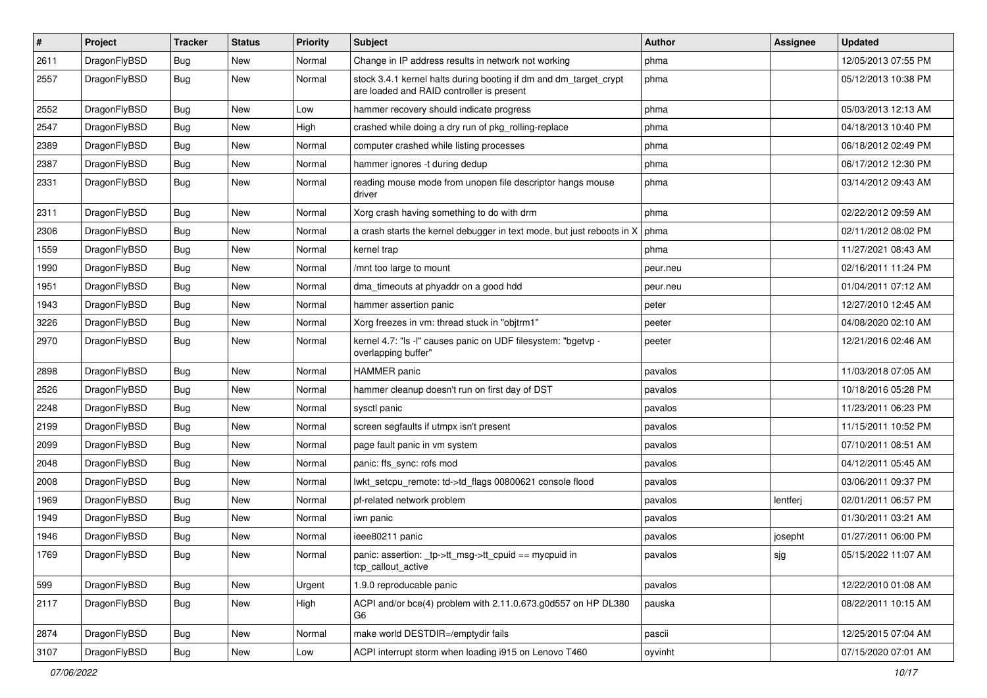| $\pmb{\#}$ | Project      | <b>Tracker</b> | <b>Status</b> | <b>Priority</b> | Subject                                                                                                        | <b>Author</b> | <b>Assignee</b> | <b>Updated</b>      |
|------------|--------------|----------------|---------------|-----------------|----------------------------------------------------------------------------------------------------------------|---------------|-----------------|---------------------|
| 2611       | DragonFlyBSD | Bug            | New           | Normal          | Change in IP address results in network not working                                                            | phma          |                 | 12/05/2013 07:55 PM |
| 2557       | DragonFlyBSD | Bug            | New           | Normal          | stock 3.4.1 kernel halts during booting if dm and dm_target_crypt<br>are loaded and RAID controller is present | phma          |                 | 05/12/2013 10:38 PM |
| 2552       | DragonFlyBSD | <b>Bug</b>     | New           | Low             | hammer recovery should indicate progress                                                                       | phma          |                 | 05/03/2013 12:13 AM |
| 2547       | DragonFlyBSD | Bug            | <b>New</b>    | High            | crashed while doing a dry run of pkg_rolling-replace                                                           | phma          |                 | 04/18/2013 10:40 PM |
| 2389       | DragonFlyBSD | Bug            | New           | Normal          | computer crashed while listing processes                                                                       | phma          |                 | 06/18/2012 02:49 PM |
| 2387       | DragonFlyBSD | Bug            | New           | Normal          | hammer ignores -t during dedup                                                                                 | phma          |                 | 06/17/2012 12:30 PM |
| 2331       | DragonFlyBSD | Bug            | New           | Normal          | reading mouse mode from unopen file descriptor hangs mouse<br>driver                                           | phma          |                 | 03/14/2012 09:43 AM |
| 2311       | DragonFlyBSD | Bug            | New           | Normal          | Xorg crash having something to do with drm                                                                     | phma          |                 | 02/22/2012 09:59 AM |
| 2306       | DragonFlyBSD | Bug            | <b>New</b>    | Normal          | a crash starts the kernel debugger in text mode, but just reboots in X                                         | phma          |                 | 02/11/2012 08:02 PM |
| 1559       | DragonFlyBSD | Bug            | <b>New</b>    | Normal          | kernel trap                                                                                                    | phma          |                 | 11/27/2021 08:43 AM |
| 1990       | DragonFlyBSD | <b>Bug</b>     | <b>New</b>    | Normal          | /mnt too large to mount                                                                                        | peur.neu      |                 | 02/16/2011 11:24 PM |
| 1951       | DragonFlyBSD | Bug            | <b>New</b>    | Normal          | dma timeouts at phyaddr on a good hdd                                                                          | peur.neu      |                 | 01/04/2011 07:12 AM |
| 1943       | DragonFlyBSD | Bug            | <b>New</b>    | Normal          | hammer assertion panic                                                                                         | peter         |                 | 12/27/2010 12:45 AM |
| 3226       | DragonFlyBSD | Bug            | New           | Normal          | Xorg freezes in vm: thread stuck in "objtrm1"                                                                  | peeter        |                 | 04/08/2020 02:10 AM |
| 2970       | DragonFlyBSD | Bug            | <b>New</b>    | Normal          | kernel 4.7: "Is -I" causes panic on UDF filesystem: "bgetvp -<br>overlapping buffer"                           | peeter        |                 | 12/21/2016 02:46 AM |
| 2898       | DragonFlyBSD | <b>Bug</b>     | <b>New</b>    | Normal          | <b>HAMMER</b> panic                                                                                            | pavalos       |                 | 11/03/2018 07:05 AM |
| 2526       | DragonFlyBSD | Bug            | <b>New</b>    | Normal          | hammer cleanup doesn't run on first day of DST                                                                 | pavalos       |                 | 10/18/2016 05:28 PM |
| 2248       | DragonFlyBSD | <b>Bug</b>     | New           | Normal          | sysctl panic                                                                                                   | pavalos       |                 | 11/23/2011 06:23 PM |
| 2199       | DragonFlyBSD | Bug            | <b>New</b>    | Normal          | screen segfaults if utmpx isn't present                                                                        | pavalos       |                 | 11/15/2011 10:52 PM |
| 2099       | DragonFlyBSD | Bug            | <b>New</b>    | Normal          | page fault panic in vm system                                                                                  | pavalos       |                 | 07/10/2011 08:51 AM |
| 2048       | DragonFlyBSD | Bug            | <b>New</b>    | Normal          | panic: ffs_sync: rofs mod                                                                                      | pavalos       |                 | 04/12/2011 05:45 AM |
| 2008       | DragonFlyBSD | Bug            | New           | Normal          | lwkt_setcpu_remote: td->td_flags 00800621 console flood                                                        | pavalos       |                 | 03/06/2011 09:37 PM |
| 1969       | DragonFlyBSD | Bug            | <b>New</b>    | Normal          | pf-related network problem                                                                                     | pavalos       | lentferj        | 02/01/2011 06:57 PM |
| 1949       | DragonFlyBSD | Bug            | New           | Normal          | iwn panic                                                                                                      | pavalos       |                 | 01/30/2011 03:21 AM |
| 1946       | DragonFlyBSD | Bug            | New           | Normal          | ieee80211 panic                                                                                                | pavalos       | josepht         | 01/27/2011 06:00 PM |
| 1769       | DragonFlyBSD | <b>Bug</b>     | <b>New</b>    | Normal          | panic: assertion: _tp->tt_msg->tt_cpuid == mycpuid in<br>tcp_callout_active                                    | pavalos       | sjg             | 05/15/2022 11:07 AM |
| 599        | DragonFlyBSD | <b>Bug</b>     | New           | Urgent          | 1.9.0 reproducable panic                                                                                       | pavalos       |                 | 12/22/2010 01:08 AM |
| 2117       | DragonFlyBSD | Bug            | New           | High            | ACPI and/or bce(4) problem with 2.11.0.673.g0d557 on HP DL380<br>G6                                            | pauska        |                 | 08/22/2011 10:15 AM |
| 2874       | DragonFlyBSD | Bug            | New           | Normal          | make world DESTDIR=/emptydir fails                                                                             | pascii        |                 | 12/25/2015 07:04 AM |
| 3107       | DragonFlyBSD | Bug            | New           | Low             | ACPI interrupt storm when loading i915 on Lenovo T460                                                          | oyvinht       |                 | 07/15/2020 07:01 AM |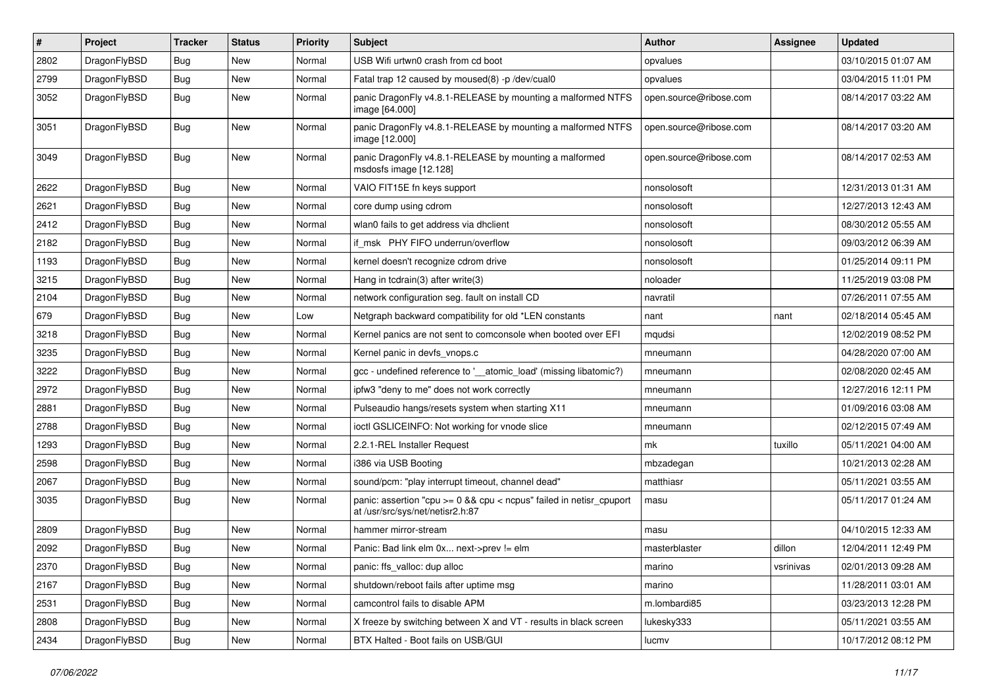| $\pmb{\#}$ | Project      | <b>Tracker</b> | <b>Status</b> | <b>Priority</b> | Subject                                                                                                 | <b>Author</b>          | Assignee  | <b>Updated</b>      |
|------------|--------------|----------------|---------------|-----------------|---------------------------------------------------------------------------------------------------------|------------------------|-----------|---------------------|
| 2802       | DragonFlyBSD | Bug            | <b>New</b>    | Normal          | USB Wifi urtwn0 crash from cd boot                                                                      | opvalues               |           | 03/10/2015 01:07 AM |
| 2799       | DragonFlyBSD | <b>Bug</b>     | New           | Normal          | Fatal trap 12 caused by moused(8) -p /dev/cual0                                                         | opvalues               |           | 03/04/2015 11:01 PM |
| 3052       | DragonFlyBSD | Bug            | <b>New</b>    | Normal          | panic DragonFly v4.8.1-RELEASE by mounting a malformed NTFS<br>image [64.000]                           | open.source@ribose.com |           | 08/14/2017 03:22 AM |
| 3051       | DragonFlyBSD | <b>Bug</b>     | New           | Normal          | panic DragonFly v4.8.1-RELEASE by mounting a malformed NTFS<br>image [12.000]                           | open.source@ribose.com |           | 08/14/2017 03:20 AM |
| 3049       | DragonFlyBSD | Bug            | <b>New</b>    | Normal          | panic DragonFly v4.8.1-RELEASE by mounting a malformed<br>msdosfs image [12.128]                        | open.source@ribose.com |           | 08/14/2017 02:53 AM |
| 2622       | DragonFlyBSD | Bug            | <b>New</b>    | Normal          | VAIO FIT15E fn keys support                                                                             | nonsolosoft            |           | 12/31/2013 01:31 AM |
| 2621       | DragonFlyBSD | Bug            | <b>New</b>    | Normal          | core dump using cdrom                                                                                   | nonsolosoft            |           | 12/27/2013 12:43 AM |
| 2412       | DragonFlyBSD | Bug            | <b>New</b>    | Normal          | wlan0 fails to get address via dhclient                                                                 | nonsolosoft            |           | 08/30/2012 05:55 AM |
| 2182       | DragonFlyBSD | Bug            | New           | Normal          | if_msk PHY FIFO underrun/overflow                                                                       | nonsolosoft            |           | 09/03/2012 06:39 AM |
| 1193       | DragonFlyBSD | Bug            | New           | Normal          | kernel doesn't recognize cdrom drive                                                                    | nonsolosoft            |           | 01/25/2014 09:11 PM |
| 3215       | DragonFlyBSD | Bug            | New           | Normal          | Hang in tcdrain(3) after write(3)                                                                       | noloader               |           | 11/25/2019 03:08 PM |
| 2104       | DragonFlyBSD | Bug            | <b>New</b>    | Normal          | network configuration seg. fault on install CD                                                          | navratil               |           | 07/26/2011 07:55 AM |
| 679        | DragonFlyBSD | Bug            | New           | Low             | Netgraph backward compatibility for old *LEN constants                                                  | nant                   | nant      | 02/18/2014 05:45 AM |
| 3218       | DragonFlyBSD | Bug            | <b>New</b>    | Normal          | Kernel panics are not sent to comconsole when booted over EFI                                           | mqudsi                 |           | 12/02/2019 08:52 PM |
| 3235       | DragonFlyBSD | Bug            | New           | Normal          | Kernel panic in devfs_vnops.c                                                                           | mneumann               |           | 04/28/2020 07:00 AM |
| 3222       | DragonFlyBSD | Bug            | <b>New</b>    | Normal          | gcc - undefined reference to '__atomic_load' (missing libatomic?)                                       | mneumann               |           | 02/08/2020 02:45 AM |
| 2972       | DragonFlyBSD | Bug            | <b>New</b>    | Normal          | ipfw3 "deny to me" does not work correctly                                                              | mneumann               |           | 12/27/2016 12:11 PM |
| 2881       | DragonFlyBSD | Bug            | <b>New</b>    | Normal          | Pulseaudio hangs/resets system when starting X11                                                        | mneumann               |           | 01/09/2016 03:08 AM |
| 2788       | DragonFlyBSD | Bug            | <b>New</b>    | Normal          | ioctl GSLICEINFO: Not working for vnode slice                                                           | mneumann               |           | 02/12/2015 07:49 AM |
| 1293       | DragonFlyBSD | Bug            | <b>New</b>    | Normal          | 2.2.1-REL Installer Request                                                                             | mk                     | tuxillo   | 05/11/2021 04:00 AM |
| 2598       | DragonFlyBSD | Bug            | <b>New</b>    | Normal          | i386 via USB Booting                                                                                    | mbzadegan              |           | 10/21/2013 02:28 AM |
| 2067       | DragonFlyBSD | Bug            | New           | Normal          | sound/pcm: "play interrupt timeout, channel dead"                                                       | matthiasr              |           | 05/11/2021 03:55 AM |
| 3035       | DragonFlyBSD | Bug            | New           | Normal          | panic: assertion "cpu >= 0 && cpu < ncpus" failed in netisr_cpuport<br>at /usr/src/sys/net/netisr2.h:87 | masu                   |           | 05/11/2017 01:24 AM |
| 2809       | DragonFlyBSD | Bug            | <b>New</b>    | Normal          | hammer mirror-stream                                                                                    | masu                   |           | 04/10/2015 12:33 AM |
| 2092       | DragonFlyBSD | <b>Bug</b>     | New           | Normal          | Panic: Bad link elm 0x next->prev != elm                                                                | masterblaster          | dillon    | 12/04/2011 12:49 PM |
| 2370       | DragonFlyBSD | <b>Bug</b>     | New           | Normal          | panic: ffs_valloc: dup alloc                                                                            | marino                 | vsrinivas | 02/01/2013 09:28 AM |
| 2167       | DragonFlyBSD | Bug            | New           | Normal          | shutdown/reboot fails after uptime msg                                                                  | marino                 |           | 11/28/2011 03:01 AM |
| 2531       | DragonFlyBSD | <b>Bug</b>     | New           | Normal          | camcontrol fails to disable APM                                                                         | m.lombardi85           |           | 03/23/2013 12:28 PM |
| 2808       | DragonFlyBSD | <b>Bug</b>     | New           | Normal          | X freeze by switching between X and VT - results in black screen                                        | lukesky333             |           | 05/11/2021 03:55 AM |
| 2434       | DragonFlyBSD | Bug            | New           | Normal          | BTX Halted - Boot fails on USB/GUI                                                                      | lucmv                  |           | 10/17/2012 08:12 PM |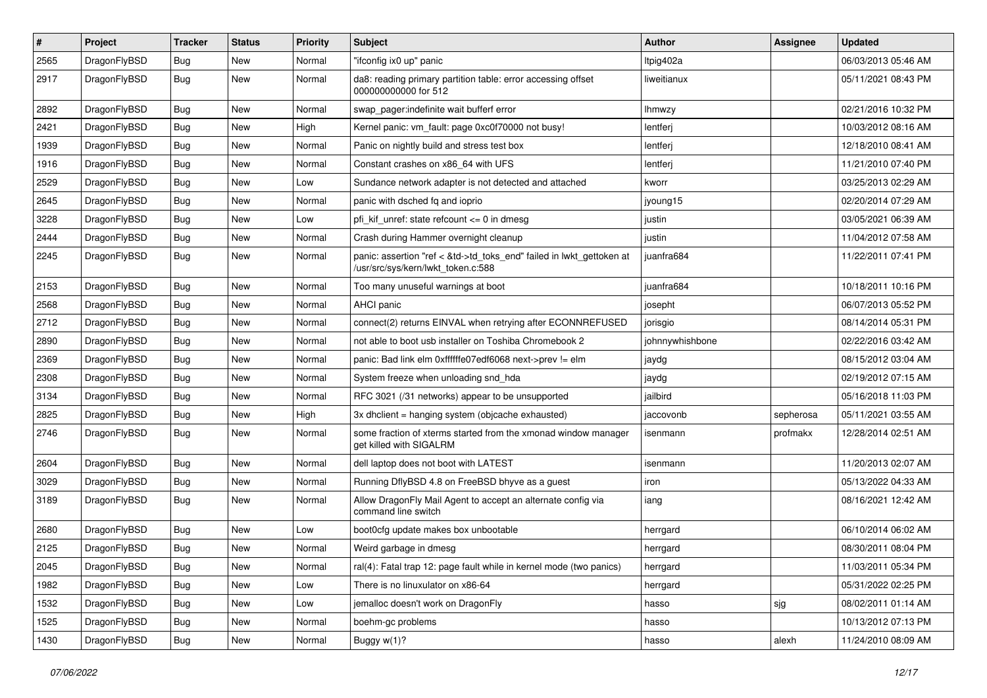| #    | Project      | <b>Tracker</b> | <b>Status</b> | <b>Priority</b> | Subject                                                                                                    | <b>Author</b>   | Assignee  | <b>Updated</b>      |
|------|--------------|----------------|---------------|-----------------|------------------------------------------------------------------------------------------------------------|-----------------|-----------|---------------------|
| 2565 | DragonFlyBSD | <b>Bug</b>     | New           | Normal          | "ifconfig ix0 up" panic                                                                                    | Itpig402a       |           | 06/03/2013 05:46 AM |
| 2917 | DragonFlyBSD | Bug            | New           | Normal          | da8: reading primary partition table: error accessing offset<br>000000000000 for 512                       | liweitianux     |           | 05/11/2021 08:43 PM |
| 2892 | DragonFlyBSD | Bug            | New           | Normal          | swap pager:indefinite wait bufferf error                                                                   | lhmwzy          |           | 02/21/2016 10:32 PM |
| 2421 | DragonFlyBSD | Bug            | New           | High            | Kernel panic: vm_fault: page 0xc0f70000 not busy!                                                          | lentferj        |           | 10/03/2012 08:16 AM |
| 1939 | DragonFlyBSD | <b>Bug</b>     | New           | Normal          | Panic on nightly build and stress test box                                                                 | lentferj        |           | 12/18/2010 08:41 AM |
| 1916 | DragonFlyBSD | Bug            | New           | Normal          | Constant crashes on x86_64 with UFS                                                                        | lentferj        |           | 11/21/2010 07:40 PM |
| 2529 | DragonFlyBSD | Bug            | New           | Low             | Sundance network adapter is not detected and attached                                                      | kworr           |           | 03/25/2013 02:29 AM |
| 2645 | DragonFlyBSD | Bug            | New           | Normal          | panic with dsched fq and ioprio                                                                            | jyoung15        |           | 02/20/2014 07:29 AM |
| 3228 | DragonFlyBSD | Bug            | <b>New</b>    | Low             | pfi_kif_unref: state refcount <= 0 in dmesg                                                                | justin          |           | 03/05/2021 06:39 AM |
| 2444 | DragonFlyBSD | Bug            | New           | Normal          | Crash during Hammer overnight cleanup                                                                      | justin          |           | 11/04/2012 07:58 AM |
| 2245 | DragonFlyBSD | Bug            | <b>New</b>    | Normal          | panic: assertion "ref < &td->td_toks_end" failed in lwkt_gettoken at<br>/usr/src/sys/kern/lwkt_token.c:588 | juanfra684      |           | 11/22/2011 07:41 PM |
| 2153 | DragonFlyBSD | Bug            | New           | Normal          | Too many unuseful warnings at boot                                                                         | juanfra684      |           | 10/18/2011 10:16 PM |
| 2568 | DragonFlyBSD | Bug            | New           | Normal          | AHCI panic                                                                                                 | josepht         |           | 06/07/2013 05:52 PM |
| 2712 | DragonFlyBSD | Bug            | <b>New</b>    | Normal          | connect(2) returns EINVAL when retrying after ECONNREFUSED                                                 | jorisgio        |           | 08/14/2014 05:31 PM |
| 2890 | DragonFlyBSD | Bug            | New           | Normal          | not able to boot usb installer on Toshiba Chromebook 2                                                     | johnnywhishbone |           | 02/22/2016 03:42 AM |
| 2369 | DragonFlyBSD | Bug            | <b>New</b>    | Normal          | panic: Bad link elm 0xffffffe07edf6068 next->prev != elm                                                   | jaydg           |           | 08/15/2012 03:04 AM |
| 2308 | DragonFlyBSD | Bug            | New           | Normal          | System freeze when unloading snd hda                                                                       | jaydg           |           | 02/19/2012 07:15 AM |
| 3134 | DragonFlyBSD | Bug            | New           | Normal          | RFC 3021 (/31 networks) appear to be unsupported                                                           | jailbird        |           | 05/16/2018 11:03 PM |
| 2825 | DragonFlyBSD | Bug            | New           | High            | 3x dhclient = hanging system (objcache exhausted)                                                          | jaccovonb       | sepherosa | 05/11/2021 03:55 AM |
| 2746 | DragonFlyBSD | Bug            | New           | Normal          | some fraction of xterms started from the xmonad window manager<br>get killed with SIGALRM                  | isenmann        | profmakx  | 12/28/2014 02:51 AM |
| 2604 | DragonFlyBSD | Bug            | New           | Normal          | dell laptop does not boot with LATEST                                                                      | isenmann        |           | 11/20/2013 02:07 AM |
| 3029 | DragonFlyBSD | <b>Bug</b>     | New           | Normal          | Running DflyBSD 4.8 on FreeBSD bhyve as a guest                                                            | iron            |           | 05/13/2022 04:33 AM |
| 3189 | DragonFlyBSD | Bug            | New           | Normal          | Allow DragonFly Mail Agent to accept an alternate config via<br>command line switch                        | iang            |           | 08/16/2021 12:42 AM |
| 2680 | DragonFlyBSD | Bug            | New           | Low             | boot0cfg update makes box unbootable                                                                       | herrgard        |           | 06/10/2014 06:02 AM |
| 2125 | DragonFlyBSD | <b>Bug</b>     | New           | Normal          | Weird garbage in dmesg                                                                                     | herrgard        |           | 08/30/2011 08:04 PM |
| 2045 | DragonFlyBSD | <b>Bug</b>     | New           | Normal          | ral(4): Fatal trap 12: page fault while in kernel mode (two panics)                                        | herrgard        |           | 11/03/2011 05:34 PM |
| 1982 | DragonFlyBSD | <b>Bug</b>     | <b>New</b>    | Low             | There is no linuxulator on x86-64                                                                          | herrgard        |           | 05/31/2022 02:25 PM |
| 1532 | DragonFlyBSD | <b>Bug</b>     | New           | Low             | jemalloc doesn't work on DragonFly                                                                         | hasso           | sjg       | 08/02/2011 01:14 AM |
| 1525 | DragonFlyBSD | <b>Bug</b>     | New           | Normal          | boehm-gc problems                                                                                          | hasso           |           | 10/13/2012 07:13 PM |
| 1430 | DragonFlyBSD | <b>Bug</b>     | New           | Normal          | Buggy w(1)?                                                                                                | hasso           | alexh     | 11/24/2010 08:09 AM |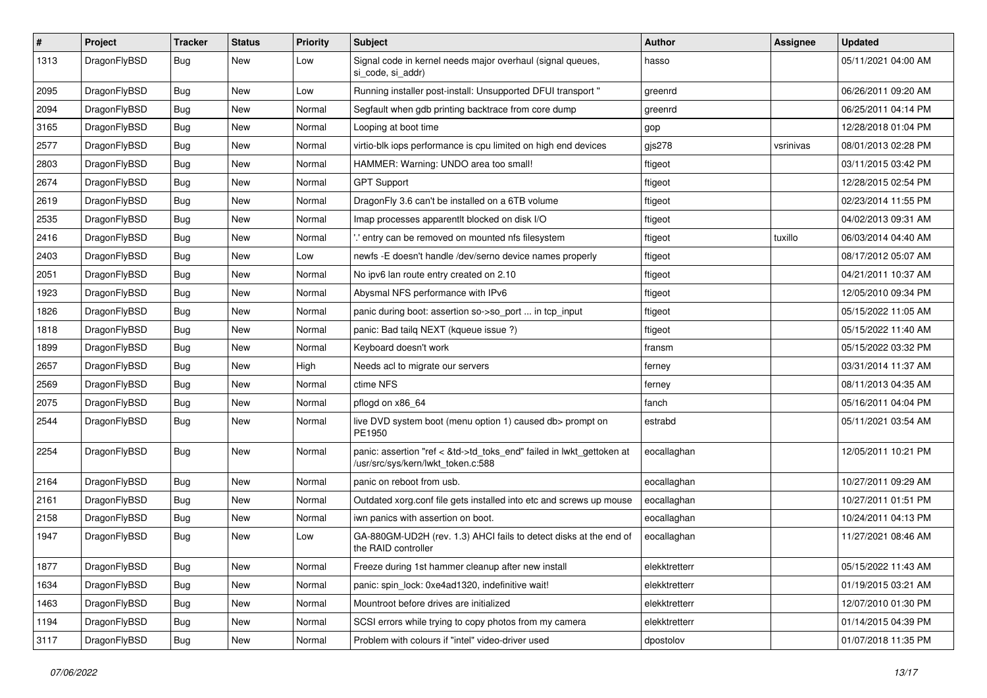| $\sharp$ | Project      | <b>Tracker</b> | <b>Status</b> | <b>Priority</b> | Subject                                                                                                    | <b>Author</b> | Assignee  | <b>Updated</b>      |
|----------|--------------|----------------|---------------|-----------------|------------------------------------------------------------------------------------------------------------|---------------|-----------|---------------------|
| 1313     | DragonFlyBSD | Bug            | New           | Low             | Signal code in kernel needs major overhaul (signal queues,<br>si code, si addr)                            | hasso         |           | 05/11/2021 04:00 AM |
| 2095     | DragonFlyBSD | <b>Bug</b>     | New           | Low             | Running installer post-install: Unsupported DFUI transport "                                               | greenrd       |           | 06/26/2011 09:20 AM |
| 2094     | DragonFlyBSD | <b>Bug</b>     | <b>New</b>    | Normal          | Segfault when gdb printing backtrace from core dump                                                        | greenrd       |           | 06/25/2011 04:14 PM |
| 3165     | DragonFlyBSD | <b>Bug</b>     | New           | Normal          | Looping at boot time                                                                                       | gop           |           | 12/28/2018 01:04 PM |
| 2577     | DragonFlyBSD | <b>Bug</b>     | <b>New</b>    | Normal          | virtio-blk iops performance is cpu limited on high end devices                                             | gjs278        | vsrinivas | 08/01/2013 02:28 PM |
| 2803     | DragonFlyBSD | Bug            | <b>New</b>    | Normal          | HAMMER: Warning: UNDO area too small!                                                                      | ftigeot       |           | 03/11/2015 03:42 PM |
| 2674     | DragonFlyBSD | <b>Bug</b>     | <b>New</b>    | Normal          | <b>GPT Support</b>                                                                                         | ftigeot       |           | 12/28/2015 02:54 PM |
| 2619     | DragonFlyBSD | <b>Bug</b>     | New           | Normal          | DragonFly 3.6 can't be installed on a 6TB volume                                                           | ftigeot       |           | 02/23/2014 11:55 PM |
| 2535     | DragonFlyBSD | Bug            | New           | Normal          | Imap processes apparentlt blocked on disk I/O                                                              | ftigeot       |           | 04/02/2013 09:31 AM |
| 2416     | DragonFlyBSD | <b>Bug</b>     | New           | Normal          | ".' entry can be removed on mounted nfs filesystem                                                         | ftigeot       | tuxillo   | 06/03/2014 04:40 AM |
| 2403     | DragonFlyBSD | <b>Bug</b>     | New           | Low             | newfs - E doesn't handle /dev/serno device names properly                                                  | ftigeot       |           | 08/17/2012 05:07 AM |
| 2051     | DragonFlyBSD | <b>Bug</b>     | <b>New</b>    | Normal          | No ipv6 lan route entry created on 2.10                                                                    | ftigeot       |           | 04/21/2011 10:37 AM |
| 1923     | DragonFlyBSD | <b>Bug</b>     | New           | Normal          | Abysmal NFS performance with IPv6                                                                          | ftigeot       |           | 12/05/2010 09:34 PM |
| 1826     | DragonFlyBSD | <b>Bug</b>     | New           | Normal          | panic during boot: assertion so->so_port  in tcp_input                                                     | ftigeot       |           | 05/15/2022 11:05 AM |
| 1818     | DragonFlyBSD | <b>Bug</b>     | New           | Normal          | panic: Bad tailg NEXT (kqueue issue ?)                                                                     | ftigeot       |           | 05/15/2022 11:40 AM |
| 1899     | DragonFlyBSD | <b>Bug</b>     | New           | Normal          | Keyboard doesn't work                                                                                      | fransm        |           | 05/15/2022 03:32 PM |
| 2657     | DragonFlyBSD | <b>Bug</b>     | New           | High            | Needs acl to migrate our servers                                                                           | ferney        |           | 03/31/2014 11:37 AM |
| 2569     | DragonFlyBSD | <b>Bug</b>     | New           | Normal          | ctime NFS                                                                                                  | ferney        |           | 08/11/2013 04:35 AM |
| 2075     | DragonFlyBSD | <b>Bug</b>     | New           | Normal          | pflogd on x86 64                                                                                           | fanch         |           | 05/16/2011 04:04 PM |
| 2544     | DragonFlyBSD | <b>Bug</b>     | <b>New</b>    | Normal          | live DVD system boot (menu option 1) caused db> prompt on<br>PE1950                                        | estrabd       |           | 05/11/2021 03:54 AM |
| 2254     | DragonFlyBSD | <b>Bug</b>     | New           | Normal          | panic: assertion "ref < &td->td_toks_end" failed in lwkt_gettoken at<br>/usr/src/sys/kern/lwkt_token.c:588 | eocallaghan   |           | 12/05/2011 10:21 PM |
| 2164     | DragonFlyBSD | <b>Bug</b>     | <b>New</b>    | Normal          | panic on reboot from usb.                                                                                  | eocallaghan   |           | 10/27/2011 09:29 AM |
| 2161     | DragonFlyBSD | <b>Bug</b>     | New           | Normal          | Outdated xorg.conf file gets installed into etc and screws up mouse                                        | eocallaghan   |           | 10/27/2011 01:51 PM |
| 2158     | DragonFlyBSD | <b>Bug</b>     | <b>New</b>    | Normal          | iwn panics with assertion on boot.                                                                         | eocallaghan   |           | 10/24/2011 04:13 PM |
| 1947     | DragonFlyBSD | <b>Bug</b>     | New           | Low             | GA-880GM-UD2H (rev. 1.3) AHCI fails to detect disks at the end of<br>the RAID controller                   | eocallaghan   |           | 11/27/2021 08:46 AM |
| 1877     | DragonFlyBSD | <b>Bug</b>     | New           | Normal          | Freeze during 1st hammer cleanup after new install                                                         | elekktretterr |           | 05/15/2022 11:43 AM |
| 1634     | DragonFlyBSD | <b>Bug</b>     | <b>New</b>    | Normal          | panic: spin_lock: 0xe4ad1320, indefinitive wait!                                                           | elekktretterr |           | 01/19/2015 03:21 AM |
| 1463     | DragonFlyBSD | <b>Bug</b>     | New           | Normal          | Mountroot before drives are initialized                                                                    | elekktretterr |           | 12/07/2010 01:30 PM |
| 1194     | DragonFlyBSD | <b>Bug</b>     | New           | Normal          | SCSI errors while trying to copy photos from my camera                                                     | elekktretterr |           | 01/14/2015 04:39 PM |
| 3117     | DragonFlyBSD | <b>Bug</b>     | New           | Normal          | Problem with colours if "intel" video-driver used                                                          | dpostolov     |           | 01/07/2018 11:35 PM |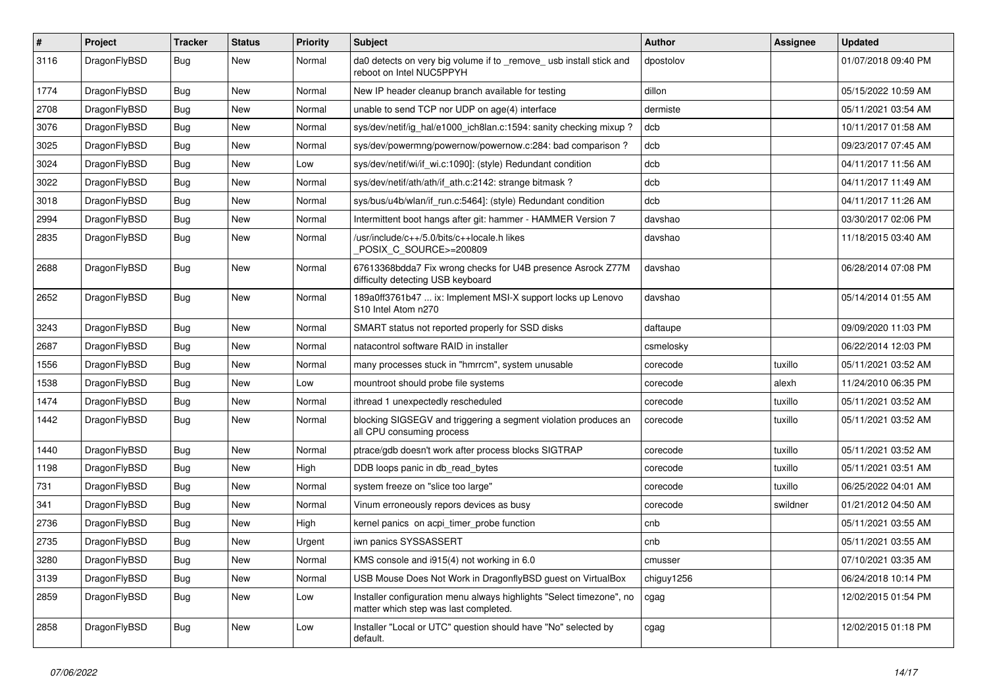| $\sharp$ | Project      | <b>Tracker</b> | <b>Status</b> | <b>Priority</b> | Subject                                                                                                       | <b>Author</b> | Assignee | <b>Updated</b>      |
|----------|--------------|----------------|---------------|-----------------|---------------------------------------------------------------------------------------------------------------|---------------|----------|---------------------|
| 3116     | DragonFlyBSD | <b>Bug</b>     | New           | Normal          | da0 detects on very big volume if to _remove_ usb install stick and<br>reboot on Intel NUC5PPYH               | dpostolov     |          | 01/07/2018 09:40 PM |
| 1774     | DragonFlyBSD | <b>Bug</b>     | New           | Normal          | New IP header cleanup branch available for testing                                                            | dillon        |          | 05/15/2022 10:59 AM |
| 2708     | DragonFlyBSD | Bug            | New           | Normal          | unable to send TCP nor UDP on age(4) interface                                                                | dermiste      |          | 05/11/2021 03:54 AM |
| 3076     | DragonFlyBSD | <b>Bug</b>     | New           | Normal          | sys/dev/netif/ig hal/e1000 ich8lan.c:1594: sanity checking mixup?                                             | dcb           |          | 10/11/2017 01:58 AM |
| 3025     | DragonFlyBSD | Bug            | New           | Normal          | sys/dev/powermng/powernow/powernow.c:284: bad comparison?                                                     | dcb           |          | 09/23/2017 07:45 AM |
| 3024     | DragonFlyBSD | Bug            | New           | Low             | sys/dev/netif/wi/if_wi.c:1090]: (style) Redundant condition                                                   | dcb           |          | 04/11/2017 11:56 AM |
| 3022     | DragonFlyBSD | Bug            | New           | Normal          | sys/dev/netif/ath/ath/if ath.c:2142: strange bitmask?                                                         | dcb           |          | 04/11/2017 11:49 AM |
| 3018     | DragonFlyBSD | Bug            | New           | Normal          | sys/bus/u4b/wlan/if run.c:5464]: (style) Redundant condition                                                  | dcb           |          | 04/11/2017 11:26 AM |
| 2994     | DragonFlyBSD | Bug            | <b>New</b>    | Normal          | Intermittent boot hangs after git: hammer - HAMMER Version 7                                                  | davshao       |          | 03/30/2017 02:06 PM |
| 2835     | DragonFlyBSD | Bug            | New           | Normal          | /usr/include/c++/5.0/bits/c++locale.h likes<br>POSIX_C_SOURCE>=200809                                         | davshao       |          | 11/18/2015 03:40 AM |
| 2688     | DragonFlyBSD | Bug            | New           | Normal          | 67613368bdda7 Fix wrong checks for U4B presence Asrock Z77M<br>difficulty detecting USB keyboard              | davshao       |          | 06/28/2014 07:08 PM |
| 2652     | DragonFlyBSD | Bug            | New           | Normal          | 189a0ff3761b47  ix: Implement MSI-X support locks up Lenovo<br>S <sub>10</sub> Intel Atom n <sub>270</sub>    | davshao       |          | 05/14/2014 01:55 AM |
| 3243     | DragonFlyBSD | Bug            | <b>New</b>    | Normal          | SMART status not reported properly for SSD disks                                                              | daftaupe      |          | 09/09/2020 11:03 PM |
| 2687     | DragonFlyBSD | Bug            | New           | Normal          | natacontrol software RAID in installer                                                                        | csmelosky     |          | 06/22/2014 12:03 PM |
| 1556     | DragonFlyBSD | Bug            | New           | Normal          | many processes stuck in "hmrrcm", system unusable                                                             | corecode      | tuxillo  | 05/11/2021 03:52 AM |
| 1538     | DragonFlyBSD | Bug            | New           | Low             | mountroot should probe file systems                                                                           | corecode      | alexh    | 11/24/2010 06:35 PM |
| 1474     | DragonFlyBSD | Bug            | <b>New</b>    | Normal          | ithread 1 unexpectedly rescheduled                                                                            | corecode      | tuxillo  | 05/11/2021 03:52 AM |
| 1442     | DragonFlyBSD | Bug            | New           | Normal          | blocking SIGSEGV and triggering a segment violation produces an<br>all CPU consuming process                  | corecode      | tuxillo  | 05/11/2021 03:52 AM |
| 1440     | DragonFlyBSD | Bug            | New           | Normal          | ptrace/gdb doesn't work after process blocks SIGTRAP                                                          | corecode      | tuxillo  | 05/11/2021 03:52 AM |
| 1198     | DragonFlyBSD | Bug            | New           | High            | DDB loops panic in db_read_bytes                                                                              | corecode      | tuxillo  | 05/11/2021 03:51 AM |
| 731      | DragonFlyBSD | Bug            | <b>New</b>    | Normal          | system freeze on "slice too large"                                                                            | corecode      | tuxillo  | 06/25/2022 04:01 AM |
| 341      | DragonFlyBSD | Bug            | New           | Normal          | Vinum erroneously repors devices as busy                                                                      | corecode      | swildner | 01/21/2012 04:50 AM |
| 2736     | DragonFlyBSD | Bug            | New           | High            | kernel panics on acpi_timer_probe function                                                                    | cnb           |          | 05/11/2021 03:55 AM |
| 2735     | DragonFlyBSD | Bug            | New           | Urgent          | iwn panics SYSSASSERT                                                                                         | cnb           |          | 05/11/2021 03:55 AM |
| 3280     | DragonFlyBSD | <b>Bug</b>     | I New         | Normal          | KMS console and i915(4) not working in 6.0                                                                    | cmusser       |          | 07/10/2021 03:35 AM |
| 3139     | DragonFlyBSD | <b>Bug</b>     | New           | Normal          | USB Mouse Does Not Work in DragonflyBSD guest on VirtualBox                                                   | chiguy1256    |          | 06/24/2018 10:14 PM |
| 2859     | DragonFlyBSD | <b>Bug</b>     | New           | Low             | Installer configuration menu always highlights "Select timezone", no<br>matter which step was last completed. | cgag          |          | 12/02/2015 01:54 PM |
| 2858     | DragonFlyBSD | <b>Bug</b>     | New           | Low             | Installer "Local or UTC" question should have "No" selected by<br>default.                                    | cgag          |          | 12/02/2015 01:18 PM |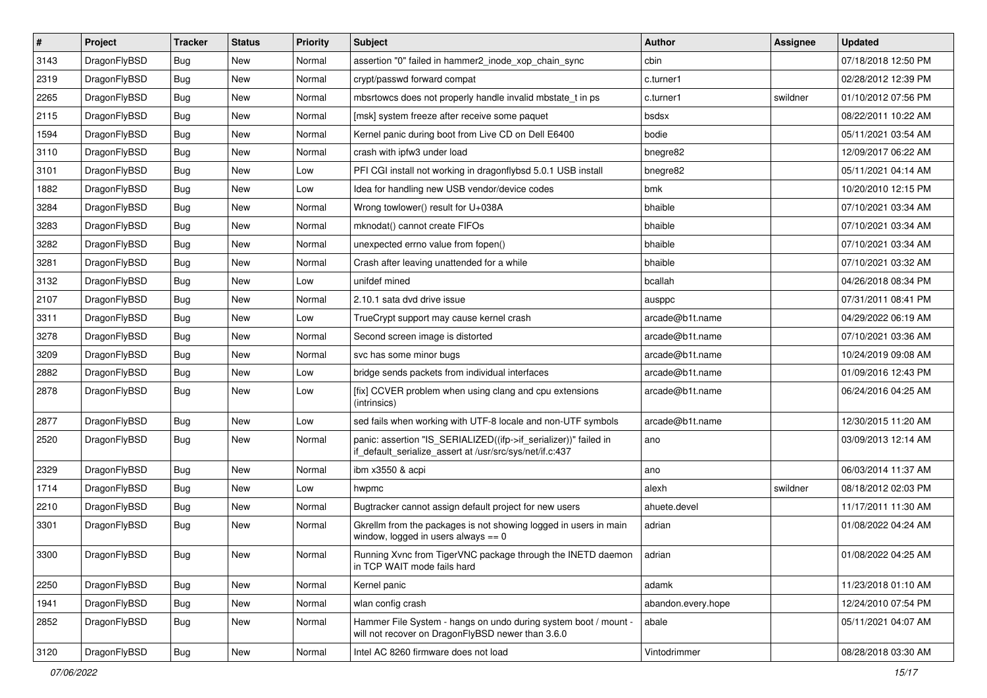| $\sharp$ | Project      | <b>Tracker</b> | <b>Status</b> | <b>Priority</b> | Subject                                                                                                                      | <b>Author</b>      | Assignee | <b>Updated</b>      |
|----------|--------------|----------------|---------------|-----------------|------------------------------------------------------------------------------------------------------------------------------|--------------------|----------|---------------------|
| 3143     | DragonFlyBSD | Bug            | New           | Normal          | assertion "0" failed in hammer2_inode_xop_chain_sync                                                                         | cbin               |          | 07/18/2018 12:50 PM |
| 2319     | DragonFlyBSD | Bug            | New           | Normal          | crypt/passwd forward compat                                                                                                  | c.turner1          |          | 02/28/2012 12:39 PM |
| 2265     | DragonFlyBSD | Bug            | New           | Normal          | mbsrtowcs does not properly handle invalid mbstate t in ps                                                                   | c.turner1          | swildner | 01/10/2012 07:56 PM |
| 2115     | DragonFlyBSD | Bug            | New           | Normal          | [msk] system freeze after receive some paquet                                                                                | bsdsx              |          | 08/22/2011 10:22 AM |
| 1594     | DragonFlyBSD | Bug            | <b>New</b>    | Normal          | Kernel panic during boot from Live CD on Dell E6400                                                                          | bodie              |          | 05/11/2021 03:54 AM |
| 3110     | DragonFlyBSD | Bug            | <b>New</b>    | Normal          | crash with ipfw3 under load                                                                                                  | bnegre82           |          | 12/09/2017 06:22 AM |
| 3101     | DragonFlyBSD | Bug            | New           | Low             | PFI CGI install not working in dragonflybsd 5.0.1 USB install                                                                | bnegre82           |          | 05/11/2021 04:14 AM |
| 1882     | DragonFlyBSD | Bug            | New           | Low             | Idea for handling new USB vendor/device codes                                                                                | bmk                |          | 10/20/2010 12:15 PM |
| 3284     | DragonFlyBSD | Bug            | New           | Normal          | Wrong towlower() result for U+038A                                                                                           | bhaible            |          | 07/10/2021 03:34 AM |
| 3283     | DragonFlyBSD | Bug            | New           | Normal          | mknodat() cannot create FIFOs                                                                                                | bhaible            |          | 07/10/2021 03:34 AM |
| 3282     | DragonFlyBSD | Bug            | New           | Normal          | unexpected errno value from fopen()                                                                                          | bhaible            |          | 07/10/2021 03:34 AM |
| 3281     | DragonFlyBSD | Bug            | New           | Normal          | Crash after leaving unattended for a while                                                                                   | bhaible            |          | 07/10/2021 03:32 AM |
| 3132     | DragonFlyBSD | Bug            | New           | Low             | unifdef mined                                                                                                                | bcallah            |          | 04/26/2018 08:34 PM |
| 2107     | DragonFlyBSD | Bug            | New           | Normal          | 2.10.1 sata dvd drive issue                                                                                                  | ausppc             |          | 07/31/2011 08:41 PM |
| 3311     | DragonFlyBSD | Bug            | <b>New</b>    | Low             | TrueCrypt support may cause kernel crash                                                                                     | arcade@b1t.name    |          | 04/29/2022 06:19 AM |
| 3278     | DragonFlyBSD | Bug            | New           | Normal          | Second screen image is distorted                                                                                             | arcade@b1t.name    |          | 07/10/2021 03:36 AM |
| 3209     | DragonFlyBSD | Bug            | New           | Normal          | svc has some minor bugs                                                                                                      | arcade@b1t.name    |          | 10/24/2019 09:08 AM |
| 2882     | DragonFlyBSD | Bug            | New           | Low             | bridge sends packets from individual interfaces                                                                              | arcade@b1t.name    |          | 01/09/2016 12:43 PM |
| 2878     | DragonFlyBSD | Bug            | <b>New</b>    | Low             | [fix] CCVER problem when using clang and cpu extensions<br>(intrinsics)                                                      | arcade@b1t.name    |          | 06/24/2016 04:25 AM |
| 2877     | DragonFlyBSD | Bug            | New           | Low             | sed fails when working with UTF-8 locale and non-UTF symbols                                                                 | arcade@b1t.name    |          | 12/30/2015 11:20 AM |
| 2520     | DragonFlyBSD | <b>Bug</b>     | New           | Normal          | panic: assertion "IS_SERIALIZED((ifp->if_serializer))" failed in<br>if_default_serialize_assert at /usr/src/sys/net/if.c:437 | ano                |          | 03/09/2013 12:14 AM |
| 2329     | DragonFlyBSD | Bug            | New           | Normal          | ibm x3550 & acpi                                                                                                             | ano                |          | 06/03/2014 11:37 AM |
| 1714     | DragonFlyBSD | <b>Bug</b>     | <b>New</b>    | Low             | hwpmc                                                                                                                        | alexh              | swildner | 08/18/2012 02:03 PM |
| 2210     | DragonFlyBSD | <b>Bug</b>     | New           | Normal          | Bugtracker cannot assign default project for new users                                                                       | ahuete.devel       |          | 11/17/2011 11:30 AM |
| 3301     | DragonFlyBSD | <b>Bug</b>     | New           | Normal          | Gkrellm from the packages is not showing logged in users in main<br>window, logged in users always $== 0$                    | adrian             |          | 01/08/2022 04:24 AM |
| 3300     | DragonFlyBSD | <b>Bug</b>     | <b>New</b>    | Normal          | Running Xvnc from TigerVNC package through the INETD daemon<br>in TCP WAIT mode fails hard                                   | adrian             |          | 01/08/2022 04:25 AM |
| 2250     | DragonFlyBSD | <b>Bug</b>     | New           | Normal          | Kernel panic                                                                                                                 | adamk              |          | 11/23/2018 01:10 AM |
| 1941     | DragonFlyBSD | <b>Bug</b>     | New           | Normal          | wlan config crash                                                                                                            | abandon.every.hope |          | 12/24/2010 07:54 PM |
| 2852     | DragonFlyBSD | Bug            | New           | Normal          | Hammer File System - hangs on undo during system boot / mount -<br>will not recover on DragonFlyBSD newer than 3.6.0         | abale              |          | 05/11/2021 04:07 AM |
| 3120     | DragonFlyBSD | <b>Bug</b>     | New           | Normal          | Intel AC 8260 firmware does not load                                                                                         | Vintodrimmer       |          | 08/28/2018 03:30 AM |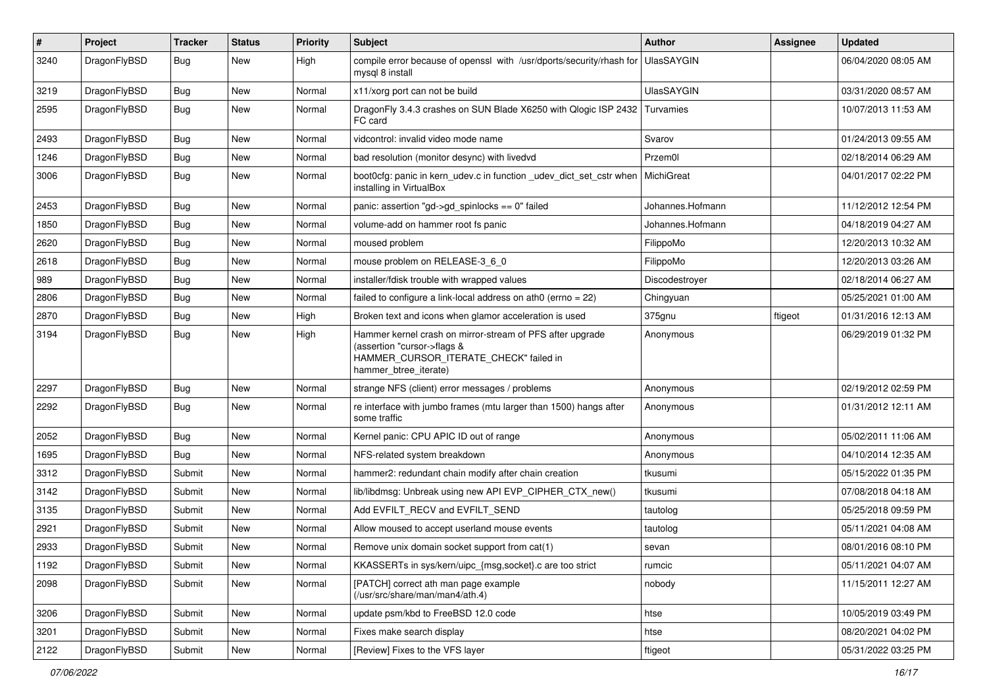| $\sharp$ | Project      | <b>Tracker</b> | <b>Status</b> | <b>Priority</b> | Subject                                                                                                                                                     | Author            | Assignee | <b>Updated</b>      |
|----------|--------------|----------------|---------------|-----------------|-------------------------------------------------------------------------------------------------------------------------------------------------------------|-------------------|----------|---------------------|
| 3240     | DragonFlyBSD | Bug            | <b>New</b>    | High            | compile error because of openssl with /usr/dports/security/rhash for<br>mysql 8 install                                                                     | UlasSAYGIN        |          | 06/04/2020 08:05 AM |
| 3219     | DragonFlyBSD | Bug            | <b>New</b>    | Normal          | x11/xorg port can not be build                                                                                                                              | <b>UlasSAYGIN</b> |          | 03/31/2020 08:57 AM |
| 2595     | DragonFlyBSD | Bug            | New           | Normal          | DragonFly 3.4.3 crashes on SUN Blade X6250 with Qlogic ISP 2432<br>FC card                                                                                  | Turvamies         |          | 10/07/2013 11:53 AM |
| 2493     | DragonFlyBSD | Bug            | <b>New</b>    | Normal          | vidcontrol: invalid video mode name                                                                                                                         | Svarov            |          | 01/24/2013 09:55 AM |
| 1246     | DragonFlyBSD | <b>Bug</b>     | New           | Normal          | bad resolution (monitor desync) with livedvd                                                                                                                | Przem0l           |          | 02/18/2014 06:29 AM |
| 3006     | DragonFlyBSD | Bug            | New           | Normal          | boot0cfg: panic in kern_udev.c in function _udev_dict_set_cstr when<br>installing in VirtualBox                                                             | MichiGreat        |          | 04/01/2017 02:22 PM |
| 2453     | DragonFlyBSD | Bug            | <b>New</b>    | Normal          | panic: assertion "gd->gd_spinlocks == 0" failed                                                                                                             | Johannes.Hofmann  |          | 11/12/2012 12:54 PM |
| 1850     | DragonFlyBSD | <b>Bug</b>     | <b>New</b>    | Normal          | volume-add on hammer root fs panic                                                                                                                          | Johannes.Hofmann  |          | 04/18/2019 04:27 AM |
| 2620     | DragonFlyBSD | <b>Bug</b>     | <b>New</b>    | Normal          | moused problem                                                                                                                                              | FilippoMo         |          | 12/20/2013 10:32 AM |
| 2618     | DragonFlyBSD | Bug            | <b>New</b>    | Normal          | mouse problem on RELEASE-3_6_0                                                                                                                              | FilippoMo         |          | 12/20/2013 03:26 AM |
| 989      | DragonFlyBSD | <b>Bug</b>     | New           | Normal          | installer/fdisk trouble with wrapped values                                                                                                                 | Discodestroyer    |          | 02/18/2014 06:27 AM |
| 2806     | DragonFlyBSD | <b>Bug</b>     | <b>New</b>    | Normal          | failed to configure a link-local address on ath0 (errno = 22)                                                                                               | Chingyuan         |          | 05/25/2021 01:00 AM |
| 2870     | DragonFlyBSD | <b>Bug</b>     | <b>New</b>    | High            | Broken text and icons when glamor acceleration is used                                                                                                      | 375gnu            | ftigeot  | 01/31/2016 12:13 AM |
| 3194     | DragonFlyBSD | <b>Bug</b>     | New           | High            | Hammer kernel crash on mirror-stream of PFS after upgrade<br>(assertion "cursor->flags &<br>HAMMER_CURSOR_ITERATE_CHECK" failed in<br>hammer_btree_iterate) | Anonymous         |          | 06/29/2019 01:32 PM |
| 2297     | DragonFlyBSD | Bug            | <b>New</b>    | Normal          | strange NFS (client) error messages / problems                                                                                                              | Anonymous         |          | 02/19/2012 02:59 PM |
| 2292     | DragonFlyBSD | <b>Bug</b>     | <b>New</b>    | Normal          | re interface with jumbo frames (mtu larger than 1500) hangs after<br>some traffic                                                                           | Anonymous         |          | 01/31/2012 12:11 AM |
| 2052     | DragonFlyBSD | Bug            | <b>New</b>    | Normal          | Kernel panic: CPU APIC ID out of range                                                                                                                      | Anonymous         |          | 05/02/2011 11:06 AM |
| 1695     | DragonFlyBSD | Bug            | New           | Normal          | NFS-related system breakdown                                                                                                                                | Anonymous         |          | 04/10/2014 12:35 AM |
| 3312     | DragonFlyBSD | Submit         | <b>New</b>    | Normal          | hammer2: redundant chain modify after chain creation                                                                                                        | tkusumi           |          | 05/15/2022 01:35 PM |
| 3142     | DragonFlyBSD | Submit         | New           | Normal          | lib/libdmsg: Unbreak using new API EVP CIPHER CTX new()                                                                                                     | tkusumi           |          | 07/08/2018 04:18 AM |
| 3135     | DragonFlyBSD | Submit         | New           | Normal          | Add EVFILT_RECV and EVFILT_SEND                                                                                                                             | tautolog          |          | 05/25/2018 09:59 PM |
| 2921     | DragonFlyBSD | Submit         | <b>New</b>    | Normal          | Allow moused to accept userland mouse events                                                                                                                | tautolog          |          | 05/11/2021 04:08 AM |
| 2933     | DragonFlyBSD | Submit         | New           | Normal          | Remove unix domain socket support from cat(1)                                                                                                               | sevan             |          | 08/01/2016 08:10 PM |
| 1192     | DragonFlyBSD | Submit         | New           | Normal          | KKASSERTs in sys/kern/uipc_{msg,socket}.c are too strict                                                                                                    | rumcic            |          | 05/11/2021 04:07 AM |
| 2098     | DragonFlyBSD | Submit         | New           | Normal          | [PATCH] correct ath man page example<br>(/usr/src/share/man/man4/ath.4)                                                                                     | nobody            |          | 11/15/2011 12:27 AM |
| 3206     | DragonFlyBSD | Submit         | New           | Normal          | update psm/kbd to FreeBSD 12.0 code                                                                                                                         | htse              |          | 10/05/2019 03:49 PM |
| 3201     | DragonFlyBSD | Submit         | New           | Normal          | Fixes make search display                                                                                                                                   | htse              |          | 08/20/2021 04:02 PM |
| 2122     | DragonFlyBSD | Submit         | New           | Normal          | [Review] Fixes to the VFS layer                                                                                                                             | ftigeot           |          | 05/31/2022 03:25 PM |